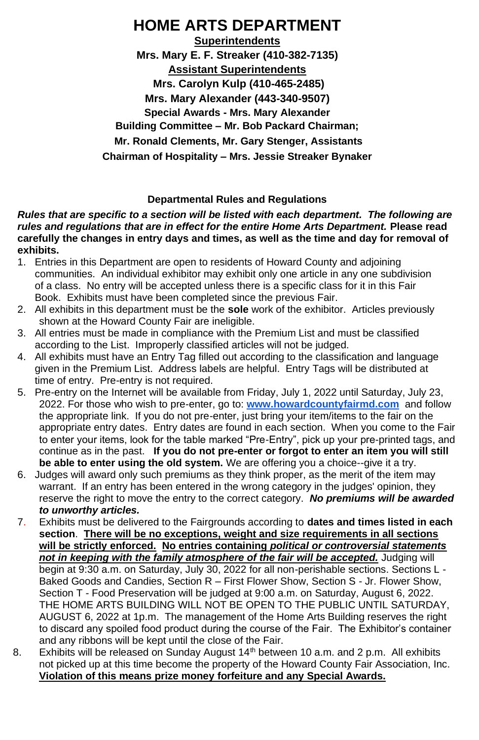# **HOME ARTS DEPARTMENT**

**Superintendents Mrs. Mary E. F. Streaker (410-382-7135) Assistant Superintendents Mrs. Carolyn Kulp (410-465-2485) Mrs. Mary Alexander (443-340-9507) Special Awards - Mrs. Mary Alexander Building Committee – Mr. Bob Packard Chairman; Mr. Ronald Clements, Mr. Gary Stenger, Assistants Chairman of Hospitality – Mrs. Jessie Streaker Bynaker**

### **Departmental Rules and Regulations**

### *Rules that are specific to a section will be listed with each department. The following are rules and regulations that are in effect for the entire Home Arts Department.* **Please read carefully the changes in entry days and times, as well as the time and day for removal of exhibits.**

- 1. Entries in this Department are open to residents of Howard County and adjoining communities. An individual exhibitor may exhibit only one article in any one subdivision of a class. No entry will be accepted unless there is a specific class for it in this Fair Book. Exhibits must have been completed since the previous Fair.
- 2. All exhibits in this department must be the **sole** work of the exhibitor. Articles previously shown at the Howard County Fair are ineligible.
- 3. All entries must be made in compliance with the Premium List and must be classified according to the List. Improperly classified articles will not be judged.
- 4. All exhibits must have an Entry Tag filled out according to the classification and language given in the Premium List. Address labels are helpful. Entry Tags will be distributed at time of entry. Pre-entry is not required.
- 5. Pre-entry on the Internet will be available from Friday, July 1, 2022 until Saturday, July 23, 2022. For those who wish to pre-enter, go to: **[www.howardcountyfairmd.com](http://www.howardcountyfairmd.com/)** and follow the appropriate link. If you do not pre-enter, just bring your item/items to the fair on the appropriate entry dates. Entry dates are found in each section. When you come to the Fair to enter your items, look for the table marked "Pre-Entry", pick up your pre-printed tags, and continue as in the past. **If you do not pre-enter or forgot to enter an item you will still be able to enter using the old system.** We are offering you a choice--give it a try.
- 6. Judges will award only such premiums as they think proper, as the merit of the item may warrant. If an entry has been entered in the wrong category in the judges' opinion, they reserve the right to move the entry to the correct category. *No premiums will be awarded to unworthy articles.*
- 7. Exhibits must be delivered to the Fairgrounds according to **dates and times listed in each section**. **There will be no exceptions, weight and size requirements in all sections will be strictly enforced. No entries containing** *political or controversial statements not in keeping with the family atmosphere of the fair will be accepted.* Judging will begin at 9:30 a.m. on Saturday, July 30, 2022 for all non-perishable sections. Sections L - Baked Goods and Candies, Section R – First Flower Show, Section S - Jr. Flower Show, Section T - Food Preservation will be judged at 9:00 a.m. on Saturday, August 6, 2022. THE HOME ARTS BUILDING WILL NOT BE OPEN TO THE PUBLIC UNTIL SATURDAY, AUGUST 6, 2022 at 1p.m. The management of the Home Arts Building reserves the right to discard any spoiled food product during the course of the Fair. The Exhibitor's container and any ribbons will be kept until the close of the Fair.
- 8. Exhibits will be released on Sunday August  $14<sup>th</sup>$  between 10 a.m. and 2 p.m. All exhibits not picked up at this time become the property of the Howard County Fair Association, Inc. **Violation of this means prize money forfeiture and any Special Awards.**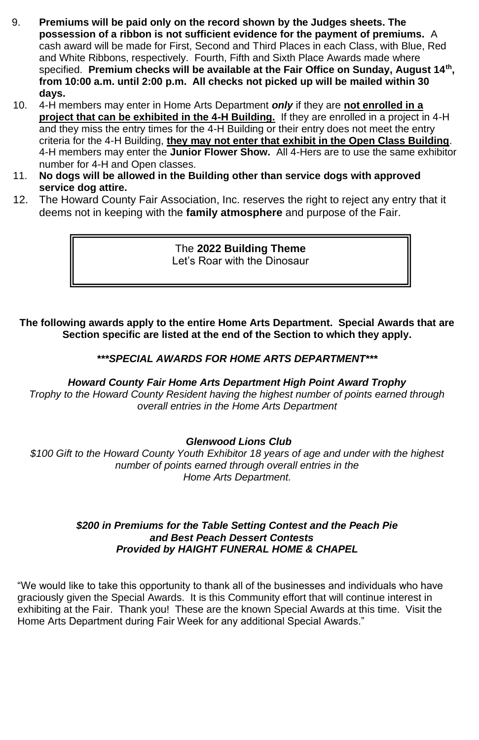- 9. **Premiums will be paid only on the record shown by the Judges sheets. The possession of a ribbon is not sufficient evidence for the payment of premiums.** A cash award will be made for First, Second and Third Places in each Class, with Blue, Red and White Ribbons, respectively. Fourth, Fifth and Sixth Place Awards made where specified. **Premium checks will be available at the Fair Office on Sunday, August 14th , from 10:00 a.m. until 2:00 p.m. All checks not picked up will be mailed within 30 days.**
- 10. 4-H members may enter in Home Arts Department *only* if they are **not enrolled in a project that can be exhibited in the 4-H Building.** If they are enrolled in a project in 4-H and they miss the entry times for the 4-H Building or their entry does not meet the entry criteria for the 4-H Building, **they may not enter that exhibit in the Open Class Building**. 4-H members may enter the **Junior Flower Show.** All 4-Hers are to use the same exhibitor number for 4-H and Open classes.
- 11. **No dogs will be allowed in the Building other than service dogs with approved service dog attire.**
- 12. The Howard County Fair Association, Inc. reserves the right to reject any entry that it deems not in keeping with the **family atmosphere** and purpose of the Fair.

The **2022 Building Theme** Let's Roar with the Dinosaur

**The following awards apply to the entire Home Arts Department. Special Awards that are Section specific are listed at the end of the Section to which they apply.**

### *\*\*\*SPECIAL AWARDS FOR HOME ARTS DEPARTMENT\*\*\**

### *Howard County Fair Home Arts Department High Point Award Trophy*

*Trophy to the Howard County Resident having the highest number of points earned through overall entries in the Home Arts Department*

### *Glenwood Lions Club*

*\$100 Gift to the Howard County Youth Exhibitor 18 years of age and under with the highest number of points earned through overall entries in the Home Arts Department.*

### *\$200 in Premiums for the Table Setting Contest and the Peach Pie and Best Peach Dessert Contests Provided by HAIGHT FUNERAL HOME & CHAPEL*

"We would like to take this opportunity to thank all of the businesses and individuals who have graciously given the Special Awards. It is this Community effort that will continue interest in exhibiting at the Fair. Thank you! These are the known Special Awards at this time. Visit the Home Arts Department during Fair Week for any additional Special Awards."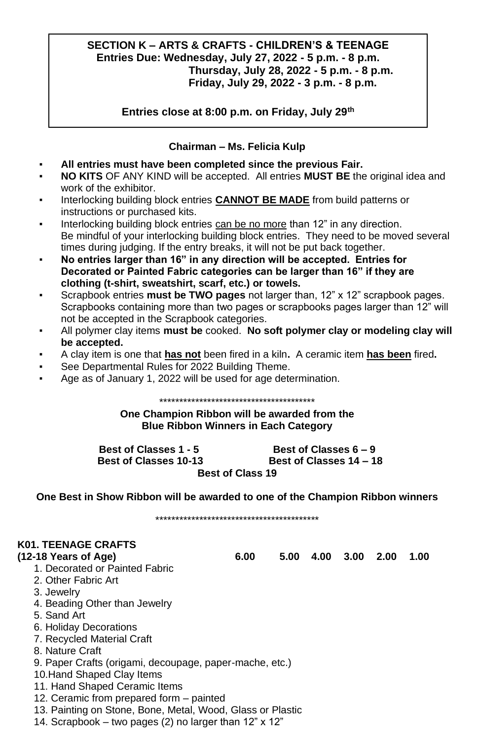### **SECTION K – ARTS & CRAFTS - CHILDREN'S & TEENAGE Entries Due: Wednesday, July 27, 2022 - 5 p.m. - 8 p.m. Thursday, July 28, 2022 - 5 p.m. - 8 p.m. Friday, July 29, 2022 - 3 p.m. - 8 p.m.**

**Entries close at 8:00 p.m. on Friday, July 29th**

### **Chairman – Ms. Felicia Kulp**

- **All entries must have been completed since the previous Fair.**
- **NO KITS** OF ANY KIND will be accepted. All entries **MUST BE** the original idea and work of the exhibitor.
- Interlocking building block entries **CANNOT BE MADE** from build patterns or instructions or purchased kits.
- Interlocking building block entries can be no more than 12" in any direction. Be mindful of your interlocking building block entries. They need to be moved several times during judging. If the entry breaks, it will not be put back together.
- **No entries larger than 16" in any direction will be accepted. Entries for Decorated or Painted Fabric categories can be larger than 16" if they are clothing (t-shirt, sweatshirt, scarf, etc.) or towels.**
- Scrapbook entries **must be TWO pages** not larger than, 12" x 12" scrapbook pages. Scrapbooks containing more than two pages or scrapbooks pages larger than 12" will not be accepted in the Scrapbook categories.
- All polymer clay items **must be** cooked. **No soft polymer clay or modeling clay will be accepted.**
- A clay item is one that **has not** been fired in a kiln**.** A ceramic item **has been** fired**.**
- See Departmental Rules for 2022 Building Theme.
- Age as of January 1, 2022 will be used for age determination.

\*\*\*\*\*\*\*\*\*\*\*\*\*\*\*\*\*\*\*\*\*\*\*\*\*\*\*\*\*\*\*\*\*\*\*\*\*\*\* **One Champion Ribbon will be awarded from the Blue Ribbon Winners in Each Category**

**Best of Classes 1 - 5 Best of Classes 6 – 9 Best of Classes 10-13 Best of Classes 14 – 18 Best of Class 19**

**One Best in Show Ribbon will be awarded to one of the Champion Ribbon winners**

\*\*\*\*\*\*\*\*\*\*\*\*\*\*\*\*\*\*\*\*\*\*\*\*\*\*\*\*\*\*\*\*\*\*\*\*\*\*\*\*\*

# **K01. TEENAGE CRAFTS**

- 1. Decorated or Painted Fabric
- 2. Other Fabric Art
- 3. Jewelry
- 4. Beading Other than Jewelry
- 5. Sand Art
- 6. Holiday Decorations
- 7. Recycled Material Craft
- 8. Nature Craft
- 9. Paper Crafts (origami, decoupage, paper-mache, etc.)
- 10.Hand Shaped Clay Items
- 11. Hand Shaped Ceramic Items
- 12. Ceramic from prepared form painted
- 13. Painting on Stone, Bone, Metal, Wood, Glass or Plastic
- 14. Scrapbook two pages (2) no larger than 12" x 12"

**(12-18 Years of Age) 6.00 5.00 4.00 3.00 2.00 1.00**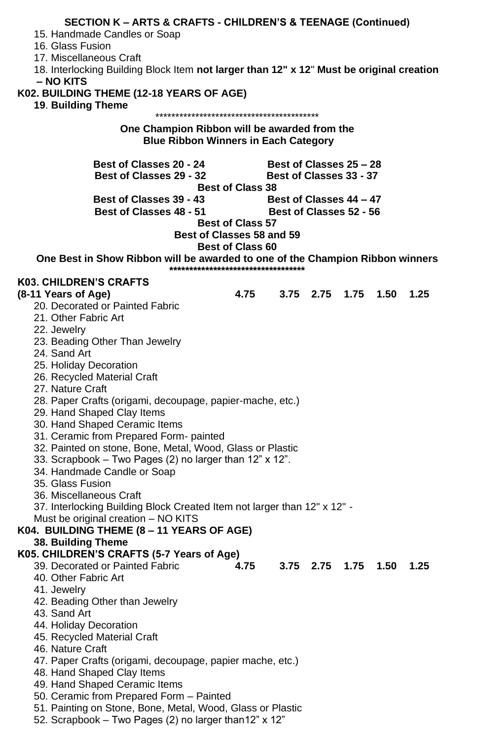| <b>SECTION K - ARTS &amp; CRAFTS - CHILDREN'S &amp; TEENAGE (Continued)</b>              |                                             |                         |      |                          |      |      |  |
|------------------------------------------------------------------------------------------|---------------------------------------------|-------------------------|------|--------------------------|------|------|--|
| 15. Handmade Candles or Soap                                                             |                                             |                         |      |                          |      |      |  |
| 16. Glass Fusion                                                                         |                                             |                         |      |                          |      |      |  |
| 17. Miscellaneous Craft                                                                  |                                             |                         |      |                          |      |      |  |
| 18. Interlocking Building Block Item not larger than 12" x 12" Must be original creation |                                             |                         |      |                          |      |      |  |
| – NO KITS                                                                                |                                             |                         |      |                          |      |      |  |
| K02. BUILDING THEME (12-18 YEARS OF AGE)                                                 |                                             |                         |      |                          |      |      |  |
| 19. Building Theme                                                                       |                                             |                         |      |                          |      |      |  |
|                                                                                          |                                             |                         |      |                          |      |      |  |
| One Champion Ribbon will be awarded from the                                             |                                             |                         |      |                          |      |      |  |
|                                                                                          | <b>Blue Ribbon Winners in Each Category</b> |                         |      |                          |      |      |  |
| Best of Classes 20 - 24                                                                  |                                             | Best of Classes 25 - 28 |      |                          |      |      |  |
| <b>Best of Classes 29 - 32</b>                                                           |                                             | Best of Classes 33 - 37 |      |                          |      |      |  |
|                                                                                          | <b>Best of Class 38</b>                     |                         |      |                          |      |      |  |
| Best of Classes 39 - 43                                                                  |                                             | Best of Classes 44 – 47 |      |                          |      |      |  |
| Best of Classes 48 - 51                                                                  |                                             | Best of Classes 52 - 56 |      |                          |      |      |  |
|                                                                                          | <b>Best of Class 57</b>                     |                         |      |                          |      |      |  |
|                                                                                          | Best of Classes 58 and 59                   |                         |      |                          |      |      |  |
|                                                                                          | <b>Best of Class 60</b>                     |                         |      |                          |      |      |  |
| One Best in Show Ribbon will be awarded to one of the Champion Ribbon winners            |                                             |                         |      |                          |      |      |  |
|                                                                                          | **********************************          |                         |      |                          |      |      |  |
| K03. CHILDREN'S CRAFTS                                                                   |                                             |                         |      |                          |      |      |  |
| (8-11 Years of Age)                                                                      | 4.75                                        |                         |      | 3.75 2.75 1.75 1.50 1.25 |      |      |  |
| 20. Decorated or Painted Fabric                                                          |                                             |                         |      |                          |      |      |  |
| 21. Other Fabric Art                                                                     |                                             |                         |      |                          |      |      |  |
| 22. Jewelry                                                                              |                                             |                         |      |                          |      |      |  |
| 23. Beading Other Than Jewelry                                                           |                                             |                         |      |                          |      |      |  |
| 24. Sand Art                                                                             |                                             |                         |      |                          |      |      |  |
| 25. Holiday Decoration                                                                   |                                             |                         |      |                          |      |      |  |
| 26. Recycled Material Craft                                                              |                                             |                         |      |                          |      |      |  |
| 27. Nature Craft                                                                         |                                             |                         |      |                          |      |      |  |
| 28. Paper Crafts (origami, decoupage, papier-mache, etc.)                                |                                             |                         |      |                          |      |      |  |
| 29. Hand Shaped Clay Items                                                               |                                             |                         |      |                          |      |      |  |
| 30. Hand Shaped Ceramic Items                                                            |                                             |                         |      |                          |      |      |  |
| 31. Ceramic from Prepared Form- painted                                                  |                                             |                         |      |                          |      |      |  |
|                                                                                          |                                             |                         |      |                          |      |      |  |
| 32. Painted on stone, Bone, Metal, Wood, Glass or Plastic                                |                                             |                         |      |                          |      |      |  |
| 33. Scrapbook - Two Pages (2) no larger than 12" x 12".                                  |                                             |                         |      |                          |      |      |  |
| 34. Handmade Candle or Soap                                                              |                                             |                         |      |                          |      |      |  |
| 35. Glass Fusion                                                                         |                                             |                         |      |                          |      |      |  |
| 36. Miscellaneous Craft                                                                  |                                             |                         |      |                          |      |      |  |
| 37. Interlocking Building Block Created Item not larger than 12" x 12" -                 |                                             |                         |      |                          |      |      |  |
| Must be original creation - NO KITS                                                      |                                             |                         |      |                          |      |      |  |
| K04. BUILDING THEME (8 - 11 YEARS OF AGE)                                                |                                             |                         |      |                          |      |      |  |
| 38. Building Theme                                                                       |                                             |                         |      |                          |      |      |  |
| K05. CHILDREN'S CRAFTS (5-7 Years of Age)                                                |                                             |                         |      |                          |      |      |  |
| 39. Decorated or Painted Fabric                                                          | 4.75                                        | 3.75                    | 2.75 | 1.75                     | 1.50 | 1.25 |  |
| 40. Other Fabric Art                                                                     |                                             |                         |      |                          |      |      |  |
| 41. Jewelry                                                                              |                                             |                         |      |                          |      |      |  |
| 42. Beading Other than Jewelry                                                           |                                             |                         |      |                          |      |      |  |
| 43. Sand Art                                                                             |                                             |                         |      |                          |      |      |  |
| 44. Holiday Decoration                                                                   |                                             |                         |      |                          |      |      |  |
| 45. Recycled Material Craft                                                              |                                             |                         |      |                          |      |      |  |
| 46. Nature Craft                                                                         |                                             |                         |      |                          |      |      |  |
| 47. Paper Crafts (origami, decoupage, papier mache, etc.)                                |                                             |                         |      |                          |      |      |  |
| 48. Hand Shaped Clay Items                                                               |                                             |                         |      |                          |      |      |  |
| 49. Hand Shaped Ceramic Items                                                            |                                             |                         |      |                          |      |      |  |
| 50. Ceramic from Prepared Form - Painted                                                 |                                             |                         |      |                          |      |      |  |
| 51. Painting on Stone, Bone, Metal, Wood, Glass or Plastic                               |                                             |                         |      |                          |      |      |  |
| 52. Scrapbook - Two Pages (2) no larger than12" x 12"                                    |                                             |                         |      |                          |      |      |  |
|                                                                                          |                                             |                         |      |                          |      |      |  |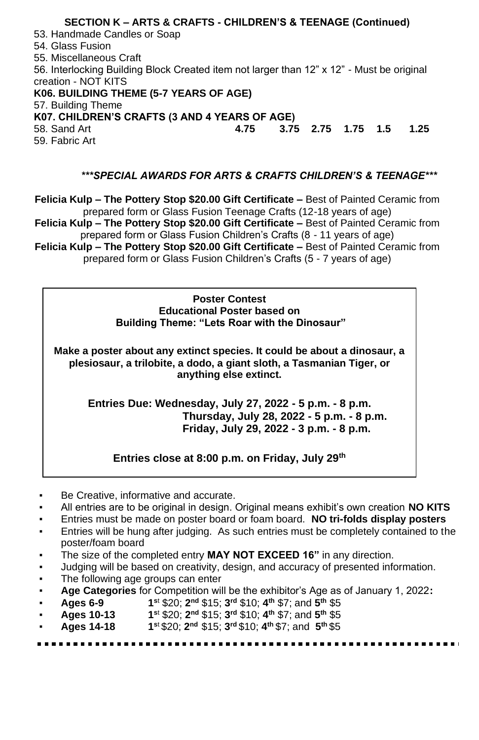### **SECTION K – ARTS & CRAFTS - CHILDREN'S & TEENAGE (Continued)** 53. Handmade Candles or Soap 54. Glass Fusion 55. Miscellaneous Craft 56. Interlocking Building Block Created item not larger than 12" x 12" - Must be original creation - NOT KITS **K06. BUILDING THEME (5-7 YEARS OF AGE)** 57. Building Theme **K07. CHILDREN'S CRAFTS (3 AND 4 YEARS OF AGE)** 58. Sand Art **4.75 3.75 2.75 1.75 1.5 1.25** 59. Fabric Art

### *\*\*\*SPECIAL AWARDS FOR ARTS & CRAFTS CHILDREN'S & TEENAGE\*\*\**

**Felicia Kulp – The Pottery Stop \$20.00 Gift Certificate –** Best of Painted Ceramic from prepared form or Glass Fusion Teenage Crafts (12-18 years of age) **Felicia Kulp – The Pottery Stop \$20.00 Gift Certificate –** Best of Painted Ceramic from prepared form or Glass Fusion Children's Crafts (8 - 11 years of age) **Felicia Kulp – The Pottery Stop \$20.00 Gift Certificate –** Best of Painted Ceramic from prepared form or Glass Fusion Children's Crafts (5 - 7 years of age)

### **Poster Contest Educational Poster based on Building Theme: "Lets Roar with the Dinosaur"**

**Make a poster about any extinct species. It could be about a dinosaur, a plesiosaur, a trilobite, a dodo, a giant sloth, a Tasmanian Tiger, or anything else extinct.**

**Entries Due: Wednesday, July 27, 2022 - 5 p.m. - 8 p.m. Thursday, July 28, 2022 - 5 p.m. - 8 p.m. Friday, July 29, 2022 - 3 p.m. - 8 p.m.**

**Entries close at 8:00 p.m. on Friday, July 29th**

- Be Creative, informative and accurate.
- All entries are to be original in design. Original means exhibit's own creation **NO KITS**
- Entries must be made on poster board or foam board. **NO tri-folds display posters**
- Entries will be hung after judging. As such entries must be completely contained to the poster/foam board
- The size of the completed entry **MAY NOT EXCEED 16**" in any direction.
- Judging will be based on creativity, design, and accuracy of presented information.
- The following age groups can enter
- **Age Categories** for Competition will be the exhibitor's Age as of January 1, 2022**:**
- **Ages 6-9 1 <sup>s</sup>**<sup>t</sup> \$20; **2 nd** \$15; **3 rd** \$10; **4 th** \$7; and **5 th** \$5
- **Ages 10-13 1 <sup>s</sup>**<sup>t</sup> \$20; **2 nd** \$15; **3 rd** \$10; **4 th** \$7; and **5 th** \$5
- **Ages 14-18 1 <sup>s</sup>**<sup>t</sup>\$20; **2 nd** \$15; **3 rd** \$10; **4 th** \$7; and **5 th** \$5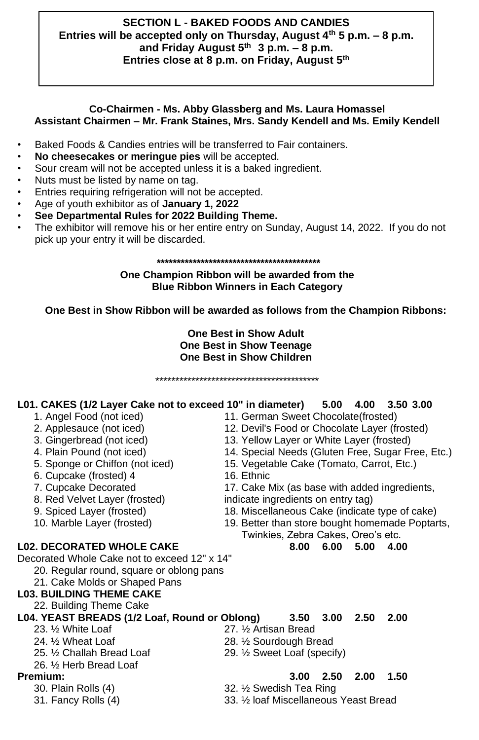### **SECTION L - BAKED FOODS AND CANDIES Entries will be accepted only on Thursday, August 4th 5 p.m. – 8 p.m. and Friday August 5th 3 p.m. – 8 p.m. Entries close at 8 p.m. on Friday, August 5th**

### **Co-Chairmen - Ms. Abby Glassberg and Ms. Laura Homassel Assistant Chairmen – Mr. Frank Staines, Mrs. Sandy Kendell and Ms. Emily Kendell**

- Baked Foods & Candies entries will be transferred to Fair containers.
- **No cheesecakes or meringue pies** will be accepted.
- Sour cream will not be accepted unless it is a baked ingredient.
- Nuts must be listed by name on tag.
- Entries requiring refrigeration will not be accepted.
- Age of youth exhibitor as of **January 1, 2022**
- **See Departmental Rules for 2022 Building Theme.**
- The exhibitor will remove his or her entire entry on Sunday, August 14, 2022. If you do not pick up your entry it will be discarded.

### **\*\*\*\*\*\*\*\*\*\*\*\*\*\*\*\*\*\*\*\*\*\*\*\*\*\*\*\*\*\*\*\*\*\*\*\*\*\*\*\*\***

### **One Champion Ribbon will be awarded from the Blue Ribbon Winners in Each Category**

### **One Best in Show Ribbon will be awarded as follows from the Champion Ribbons:**

**One Best in Show Adult One Best in Show Teenage One Best in Show Children**

**L01. CAKES (1/2 Layer Cake not to exceed 10" in diameter) 5.00 4.00 3.50 3.00**

\*\*\*\*\*\*\*\*\*\*\*\*\*\*\*\*\*\*\*\*\*\*\*\*\*\*\*\*\*\*\*\*\*\*\*\*\*\*\*\*\*

- 
- 
- 
- 
- 
- 6. Cupcake (frosted)  $\overline{4}$
- 
- 
- 
- 

### **L02. DECORATED WHOLE CAKE 8.00 6.00 5.00 4.00**

Decorated Whole Cake not to exceed 12" x 14"

- 20. Regular round, square or oblong pans
- 21. Cake Molds or Shaped Pans

### **L03. BUILDING THEME CAKE**

22. Building Theme Cake

# **L04. YEAST BREADS (1/2 Loaf, Round or Oblong) 3.50 3.00 2.50 2.00** 23. 1/2 White Loaf 27. 1/2 Artisan Bread 24. 1/2 Wheat Loaf 28. 28. 1/2 Sourdough Bread

- 
- 
- 25. ½ Challah Bread Loaf 29. ½ Sweet Loaf (specify)
- 26. ½ Herb Bread Loaf
- - -

- 1. Angel Food (not iced) 11. German Sweet Chocolate(frosted) 12. Devil's Food or Chocolate Layer (frosted)
- 3. Gingerbread (not iced) 13. Yellow Layer or White Layer (frosted)
- 4. Plain Pound (not iced) 14. Special Needs (Gluten Free, Sugar Free, Etc.)<br>5. Sponge or Chiffon (not iced) 15. Vegetable Cake (Tomato, Carrot, Etc.)
	- 15. Vegetable Cake (Tomato, Carrot, Etc.)<br>16. Ethnic
		-

7. Cupcake Decorated 17. Cake Mix (as base with added ingredients, 8. Red Velvet Layer (frosted) indicate ingredients on entry tag)

- 9. Spiced Layer (frosted) 18. Miscellaneous Cake (indicate type of cake)
- 10. Marble Layer (frosted) 19. Better than store bought homemade Poptarts,
	- Twinkies, Zebra Cakes, Oreo's etc.

- **Premium: 3.00 2.50 2.00 1.50** 30. Plain Rolls (4) 32. ½ Swedish Tea Ring
	-

28. 1/2 Sourdough Bread

31. Fancy Rolls (4) 33. ½ loaf Miscellaneous Yeast Bread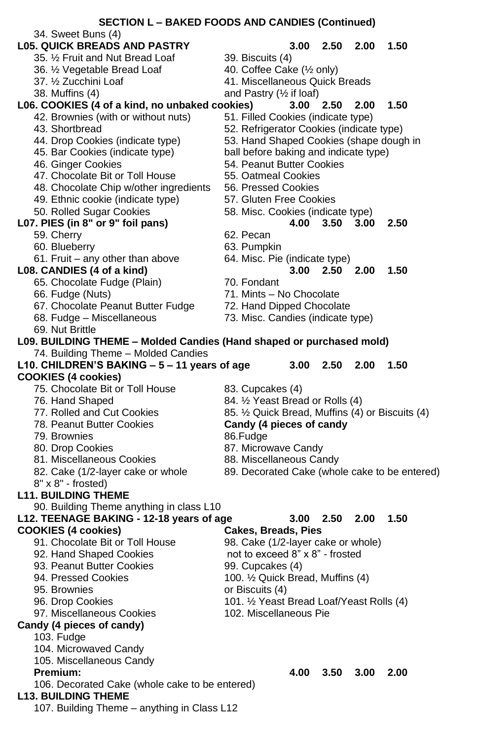|                                                                      | <b>SECTION L - BAKED FOODS AND CANDIES (Continued)</b> |
|----------------------------------------------------------------------|--------------------------------------------------------|
| 34. Sweet Buns (4)                                                   |                                                        |
| <b>L05. QUICK BREADS AND PASTRY</b>                                  | 3.00<br>2.50<br>2.00<br>1.50                           |
| 35. 1/2 Fruit and Nut Bread Loaf                                     | 39. Biscuits (4)                                       |
| 36. 1/2 Vegetable Bread Loaf                                         | 40. Coffee Cake (1/2 only)                             |
| 37. 1/2 Zucchini Loaf                                                | 41. Miscellaneous Quick Breads                         |
| 38. Muffins (4)                                                      | and Pastry $(\frac{1}{2})$ if loaf)                    |
| L06. COOKIES (4 of a kind, no unbaked cookies)                       | 1.50<br>2.00<br>3.00<br>2.50                           |
| 42. Brownies (with or without nuts)                                  | 51. Filled Cookies (indicate type)                     |
| 43. Shortbread                                                       | 52. Refrigerator Cookies (indicate type)               |
| 44. Drop Cookies (indicate type)                                     | 53. Hand Shaped Cookies (shape dough in                |
| 45. Bar Cookies (indicate type)                                      | ball before baking and indicate type)                  |
| 46. Ginger Cookies                                                   | 54. Peanut Butter Cookies                              |
| 47. Chocolate Bit or Toll House                                      | 55. Oatmeal Cookies                                    |
|                                                                      | 56. Pressed Cookies                                    |
| 48. Chocolate Chip w/other ingredients                               |                                                        |
| 49. Ethnic cookie (indicate type)                                    | 57. Gluten Free Cookies                                |
| 50. Rolled Sugar Cookies                                             | 58. Misc. Cookies (indicate type)                      |
| L07. PIES (in 8" or 9" foil pans)                                    | 3.00<br>4.00<br>3.50<br>2.50                           |
| 59. Cherry                                                           | 62. Pecan                                              |
| 60. Blueberry                                                        | 63. Pumpkin                                            |
| 61. Fruit - any other than above                                     | 64. Misc. Pie (indicate type)                          |
| L08. CANDIES (4 of a kind)                                           | $3.00 \quad 2.50$<br>2.00<br>1.50                      |
| 65. Chocolate Fudge (Plain)                                          | 70. Fondant                                            |
| 66. Fudge (Nuts)                                                     | 71. Mints - No Chocolate                               |
| 67. Chocolate Peanut Butter Fudge                                    | 72. Hand Dipped Chocolate                              |
| 68. Fudge - Miscellaneous                                            | 73. Misc. Candies (indicate type)                      |
| 69. Nut Brittle                                                      |                                                        |
| L09. BUILDING THEME - Molded Candies (Hand shaped or purchased mold) |                                                        |
| 74. Building Theme - Molded Candies                                  |                                                        |
| L10. CHILDREN'S BAKING - 5 - 11 years of age                         | 3.00<br>2.50<br>2.00<br>1.50                           |
| <b>COOKIES (4 cookies)</b>                                           |                                                        |
| 75. Chocolate Bit or Toll House                                      | 83. Cupcakes (4)                                       |
| 76. Hand Shaped                                                      | 84. 1/2 Yeast Bread or Rolls (4)                       |
| 77. Rolled and Cut Cookies                                           | 85. 1/2 Quick Bread, Muffins (4) or Biscuits (4)       |
| 78. Peanut Butter Cookies                                            | Candy (4 pieces of candy                               |
| 79. Brownies                                                         | 86.Fudge                                               |
| 80. Drop Cookies                                                     | 87. Microwave Candy                                    |
| 81. Miscellaneous Cookies                                            | 88. Miscellaneous Candy                                |
|                                                                      | 89. Decorated Cake (whole cake to be entered)          |
| 82. Cake (1/2-layer cake or whole<br>8" x 8" - frosted)              |                                                        |
|                                                                      |                                                        |
| <b>L11. BUILDING THEME</b>                                           |                                                        |
| 90. Building Theme anything in class L10                             | 2.00                                                   |
| L12. TEENAGE BAKING - 12-18 years of age                             | $3.00\quad 2.50$<br>1.50                               |
| <b>COOKIES (4 cookies)</b>                                           | <b>Cakes, Breads, Pies</b>                             |
| 91. Chocolate Bit or Toll House                                      | 98. Cake (1/2-layer cake or whole)                     |
| 92. Hand Shaped Cookies                                              | not to exceed 8" x 8" - frosted                        |
| 93. Peanut Butter Cookies                                            | 99. Cupcakes (4)                                       |
| 94. Pressed Cookies                                                  | 100. 1/2 Quick Bread, Muffins (4)                      |
| 95. Brownies                                                         | or Biscuits (4)                                        |
| 96. Drop Cookies                                                     | 101. 1/2 Yeast Bread Loaf/Yeast Rolls (4)              |
| 97. Miscellaneous Cookies                                            | 102. Miscellaneous Pie                                 |
| Candy (4 pieces of candy)                                            |                                                        |
| 103. Fudge                                                           |                                                        |
| 104. Microwaved Candy                                                |                                                        |
| 105. Miscellaneous Candy                                             |                                                        |
| Premium:                                                             | 4.00<br>2.00<br>3.50<br>3.00                           |
| 106. Decorated Cake (whole cake to be entered)                       |                                                        |
| <b>L13. BUILDING THEME</b>                                           |                                                        |
| 107. Building Theme - anything in Class L12                          |                                                        |
|                                                                      |                                                        |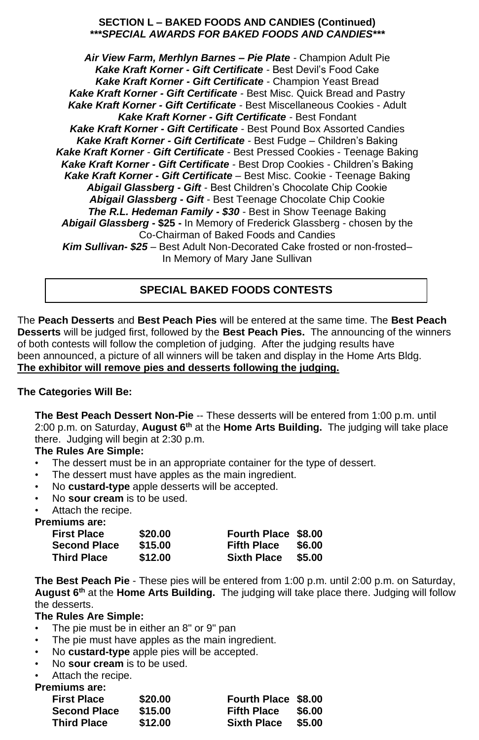### **SECTION L – BAKED FOODS AND CANDIES (Continued)** *\*\*\*SPECIAL AWARDS FOR BAKED FOODS AND CANDIES\*\*\**

*Air View Farm, Merhlyn Barnes – Pie Plate -* Champion Adult Pie *Kake Kraft Korner - Gift Certificate -* Best Devil's Food Cake *Kake Kraft Korner - Gift Certificate -* Champion Yeast Bread *Kake Kraft Korner - Gift Certificate -* Best Misc. Quick Bread and Pastry *Kake Kraft Korner - Gift Certificate -* Best Miscellaneous Cookies - Adult *Kake Kraft Korner - Gift Certificate -* Best Fondant *Kake Kraft Korner - Gift Certificate -* Best Pound Box Assorted Candies *Kake Kraft Korner - Gift Certificate -* Best Fudge – Children's Baking *Kake Kraft Korner - Gift Certificate -* Best Pressed Cookies - Teenage Baking *Kake Kraft Korner - Gift Certificate -* Best Drop Cookies - Children's Baking *Kake Kraft Korner - Gift Certificate –* Best Misc. Cookie - Teenage Baking *Abigail Glassberg - Gift -* Best Children's Chocolate Chip Cookie *Abigail Glassberg - Gift -* Best Teenage Chocolate Chip Cookie *The R.L. Hedeman Family - \$30* - Best in Show Teenage Baking *Abigail Glassberg* **- \$25 -** In Memory of Frederick Glassberg - chosen by the Co-Chairman of Baked Foods and Candies **Kim Sullivan- \$25** – Best Adult Non-Decorated Cake frosted or non-frosted– In Memory of Mary Jane Sullivan

### **SPECIAL BAKED FOODS CONTESTS**

The **Peach Desserts** and **Best Peach Pies** will be entered at the same time. The **Best Peach Desserts** will be judged first, followed by the **Best Peach Pies.** The announcing of the winners of both contests will follow the completion of judging. After the judging results have been announced, a picture of all winners will be taken and display in the Home Arts Bldg. **The exhibitor will remove pies and desserts following the judging.**

### **The Categories Will Be:**

**The Best Peach Dessert Non-Pie** -- These desserts will be entered from 1:00 p.m. until 2:00 p.m. on Saturday, **August 6th** at the **Home Arts Building.** The judging will take place there. Judging will begin at 2:30 p.m.

### **The Rules Are Simple:**

- The dessert must be in an appropriate container for the type of dessert.
- The dessert must have apples as the main ingredient.
- No **custard-type** apple desserts will be accepted.
- No **sour cream** is to be used.

• Attach the recipe.

### **Premiums are:**

| <b>First Place</b>  | \$20.00 | Fourth Place \$8.00 |        |
|---------------------|---------|---------------------|--------|
| <b>Second Place</b> | \$15.00 | <b>Fifth Place</b>  | \$6.00 |
| <b>Third Place</b>  | \$12.00 | <b>Sixth Place</b>  | \$5.00 |

**The Best Peach Pie** - These pies will be entered from 1:00 p.m. until 2:00 p.m. on Saturday, **August 6th** at the **Home Arts Building.** The judging will take place there. Judging will follow the desserts.

### **The Rules Are Simple:**

- The pie must be in either an 8" or 9" pan
- The pie must have apples as the main ingredient.
- No **custard-type** apple pies will be accepted.
- No **sour cream** is to be used.
- Attach the recipe.

### **Premiums are:**

| <b>First Place</b>  | \$20.00 | Fourth Place \$8.00 |        |
|---------------------|---------|---------------------|--------|
| <b>Second Place</b> | \$15.00 | <b>Fifth Place</b>  | \$6.00 |
| <b>Third Place</b>  | \$12.00 | <b>Sixth Place</b>  | \$5.00 |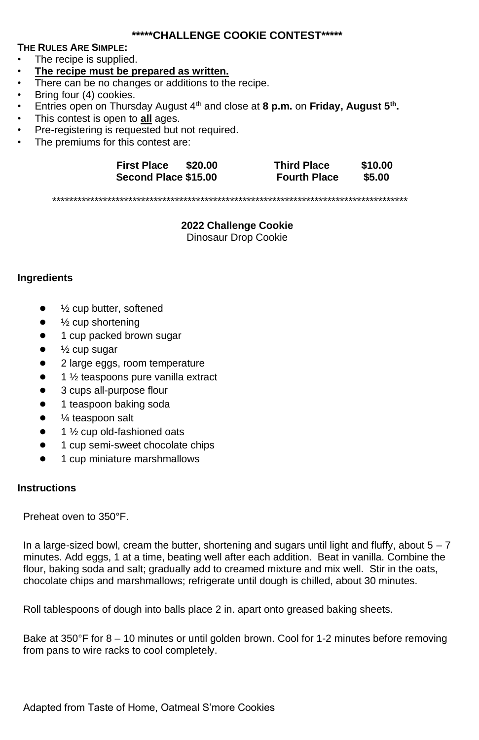### **\*\*\*\*\*CHALLENGE COOKIE CONTEST\*\*\*\*\***

### **THE RULES ARE SIMPLE:**

- The recipe is supplied.
- **The recipe must be prepared as written.**
- There can be no changes or additions to the recipe.
- Bring four (4) cookies.
- Entries open on Thursday August 4<sup>th</sup> and close at 8 p.m. on Friday, August 5<sup>th</sup>.
- This contest is open to **all** ages.
- Pre-registering is requested but not required.
- The premiums for this contest are:

| <b>First Place</b><br>\$20.00 | <b>Third Place</b>  | \$10.00 |
|-------------------------------|---------------------|---------|
| Second Place \$15.00          | <b>Fourth Place</b> | \$5.00  |

\*\*\*\*\*\*\*\*\*\*\*\*\*\*\*\*\*\*\*\*\*\*\*\*\*\*\*\*\*\*\*\*\*\*\*\*\*\*\*\*\*\*\*\*\*\*\*\*\*\*\*\*\*\*\*\*\*\*\*\*\*\*\*\*\*\*\*\*\*\*\*\*\*\*\*\*\*\*\*\*\*\*\*\*

**2022 Challenge Cookie** Dinosaur Drop Cookie

### **Ingredients**

- $\frac{1}{2}$  cup butter, softened
- $\bullet$   $\frac{1}{2}$  cup shortening
- 1 cup packed brown sugar
- $\frac{1}{2}$  cup sugar
- 2 large eggs, room temperature
- $1$   $\frac{1}{2}$  teaspoons pure vanilla extract
- 3 cups all-purpose flour
- 1 teaspoon baking soda
- ¼ teaspoon salt
- $1\frac{1}{2}$  cup old-fashioned oats
- 1 cup semi-sweet chocolate chips
- 1 cup miniature marshmallows

### **Instructions**

Preheat oven to 350°F.

In a large-sized bowl, cream the butter, shortening and sugars until light and fluffy, about  $5 - 7$ minutes. Add eggs, 1 at a time, beating well after each addition. Beat in vanilla. Combine the flour, baking soda and salt; gradually add to creamed mixture and mix well. Stir in the oats, chocolate chips and marshmallows; refrigerate until dough is chilled, about 30 minutes.

Roll tablespoons of dough into balls place 2 in. apart onto greased baking sheets.

Bake at 350°F for 8 – 10 minutes or until golden brown. Cool for 1-2 minutes before removing from pans to wire racks to cool completely.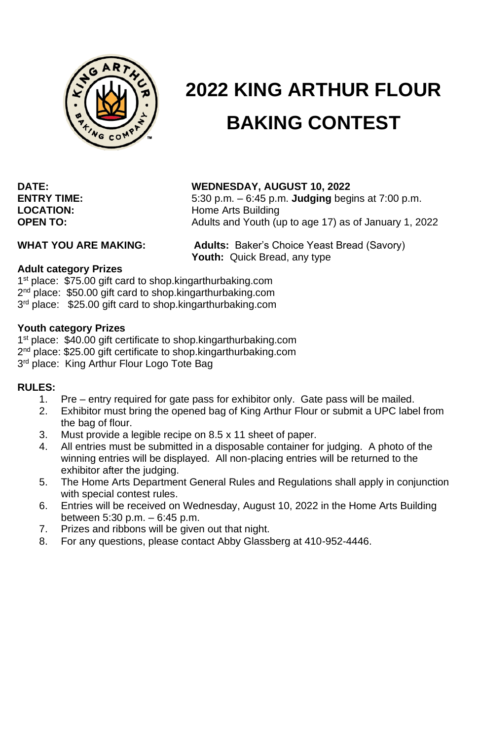

# **2022 KING ARTHUR FLOUR BAKING CONTEST**

### **DATE: WEDNESDAY, AUGUST 10, 2022**

**ENTRY TIME:** 5:30 p.m. – 6:45 p.m. **Judging** begins at 7:00 p.m. **LOCATION:** Home Arts Building **OPEN TO:** Adults and Youth (up to age 17) as of January 1, 2022

**WHAT YOU ARE MAKING: Adults:** Baker's Choice Yeast Bread (Savory) **Youth:** Quick Bread, any type

### **Adult category Prizes**

1<sup>st</sup> place: \$75.00 gift card to shop.kingarthurbaking.com 2<sup>nd</sup> place: \$50.00 gift card to shop.kingarthurbaking.com 3<sup>rd</sup> place: \$25.00 gift card to shop.kingarthurbaking.com

### **Youth category Prizes**

1<sup>st</sup> place: \$40.00 gift certificate to shop.kingarthurbaking.com 2<sup>nd</sup> place: \$25.00 gift certificate to shop.kingarthurbaking.com 3<sup>rd</sup> place: King Arthur Flour Logo Tote Bag

### **RULES:**

- 1. Pre entry required for gate pass for exhibitor only. Gate pass will be mailed.
- 2. Exhibitor must bring the opened bag of King Arthur Flour or submit a UPC label from the bag of flour.
- 3. Must provide a legible recipe on 8.5 x 11 sheet of paper.
- 4. All entries must be submitted in a disposable container for judging. A photo of the winning entries will be displayed. All non-placing entries will be returned to the exhibitor after the judging.
- 5. The Home Arts Department General Rules and Regulations shall apply in conjunction with special contest rules.
- 6. Entries will be received on Wednesday, August 10, 2022 in the Home Arts Building between 5:30 p.m. – 6:45 p.m.
- 7. Prizes and ribbons will be given out that night.
- 8. For any questions, please contact Abby Glassberg at 410-952-4446.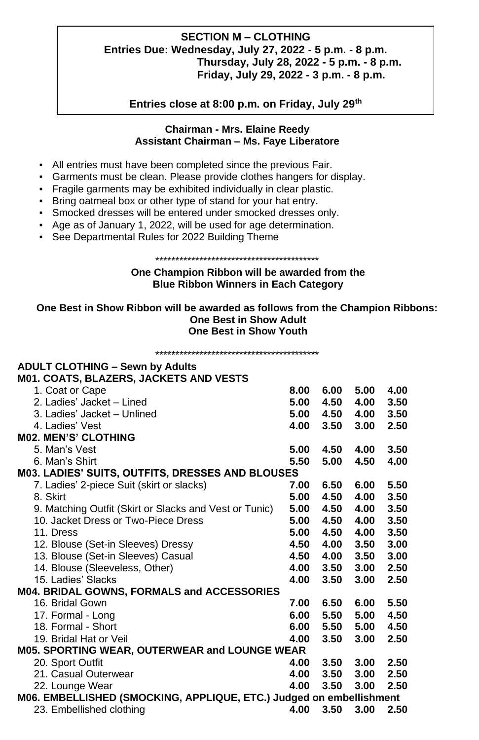### **SECTION M – CLOTHING Entries Due: Wednesday, July 27, 2022 - 5 p.m. - 8 p.m. Thursday, July 28, 2022 - 5 p.m. - 8 p.m. Friday, July 29, 2022 - 3 p.m. - 8 p.m.**

**Entries close at 8:00 p.m. on Friday, July 29th**

### **Chairman - Mrs. Elaine Reedy Assistant Chairman – Ms. Faye Liberatore**

- All entries must have been completed since the previous Fair.
- Garments must be clean. Please provide clothes hangers for display.
- Fragile garments may be exhibited individually in clear plastic.
- Bring oatmeal box or other type of stand for your hat entry.
- Smocked dresses will be entered under smocked dresses only.
- Age as of January 1, 2022, will be used for age determination.
- See Departmental Rules for 2022 Building Theme

### \*\*\*\*\*\*\*\*\*\*\*\*\*\*\*\*\*\*\*\*\*\*\*\*\*\*\*\*\*\*\*\*\*\*\*\*\*\*\*\*\*

### **One Champion Ribbon will be awarded from the Blue Ribbon Winners in Each Category**

### **One Best in Show Ribbon will be awarded as follows from the Champion Ribbons: One Best in Show Adult One Best in Show Youth**

\*\*\*\*\*\*\*\*\*\*\*\*\*\*\*\*\*\*\*\*\*\*\*\*\*\*\*\*\*\*\*\*\*\*\*\*\*\*\*\*\*

### **ADULT CLOTHING – Sewn by Adults M01. COATS, BLAZERS, JACKETS AND VESTS** 1. Coat or Cape **8.00 6.00 5.00 4.00** 2. Ladies' Jacket – Lined **5.00 4.50 4.00 3.50** 3. Ladies' Jacket – Unlined **5.00 4.50 4.00 3.50** 4. Ladies' Vest **4.00 3.50 3.00 2.50 M02. MEN'S' CLOTHING** 5. Man's Vest **5.00 4.50 4.00 3.50** 6. Man's Shirt **5.50 5.00 4.50 4.00 M03. LADIES' SUITS, OUTFITS, DRESSES AND BLOUSES** 7. Ladies' 2-piece Suit (skirt or slacks) **7.00 6.50 6.00 5.50** 8. Skirt **5.00 4.50 4.00 3.50** 9. Matching Outfit (Skirt or Slacks and Vest or Tunic) **5.00 4.50 4.00 3.50** 10. Jacket Dress or Two-Piece Dress **5.00 4.50 4.00 3.50** 11. Dress **5.00 4.50 4.00 3.50** 12. Blouse (Set-in Sleeves) Dressy **4.50 4.00 3.50 3.00** 13. Blouse (Set-in Sleeves) Casual **4.50 4.00 3.50 3.00** 14. Blouse (Sleeveless, Other) **4.00 3.50 3.00 2.50** 15. Ladies' Slacks **4.00 3.50 3.00 2.50 M04. BRIDAL GOWNS, FORMALS and ACCESSORIES** 16. Bridal Gown **7.00 6.50 6.00 5.50** 17. Formal - Long **6.00 5.50 5.00 4.50** 18. Formal - Short **6.00 5.50 5.00 4.50** 19. Bridal Hat or Veil **4.00 3.50 3.00 2.50 M05. SPORTING WEAR, OUTERWEAR and LOUNGE WEAR** 20. Sport Outfit **4.00 3.50 3.00 2.50** 21. Casual Outerwear **4.00 3.50 3.00 2.50** 22. Lounge Wear **4.00 3.50 3.00 2.50 M06. EMBELLISHED (SMOCKING, APPLIQUE, ETC.) Judged on embellishment** 23. Embellished clothing **4.00 3.50 3.00 2.50**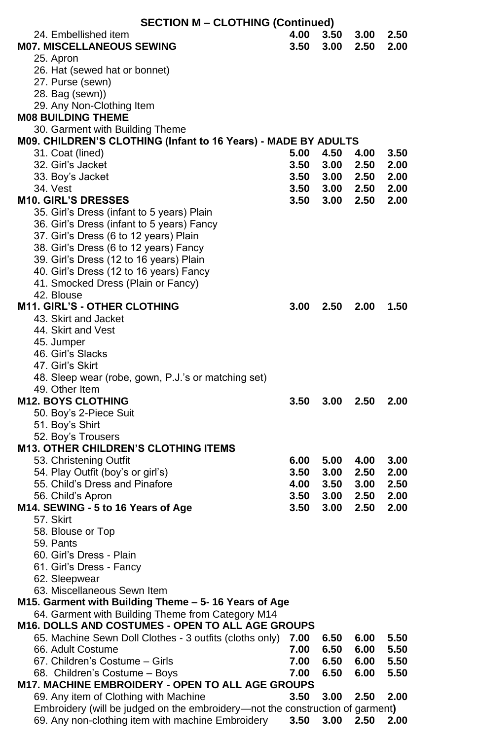| <b>SECTION M - CLOTHING (Continued)</b>                                                               |              |                |              |              |
|-------------------------------------------------------------------------------------------------------|--------------|----------------|--------------|--------------|
| 24. Embellished item                                                                                  | 4.00         | 3.50           | 3.00         | 2.50         |
| <b>M07. MISCELLANEOUS SEWING</b>                                                                      | 3.50         | 3.00           | 2.50         | 2.00         |
| 25. Apron                                                                                             |              |                |              |              |
| 26. Hat (sewed hat or bonnet)                                                                         |              |                |              |              |
| 27. Purse (sewn)                                                                                      |              |                |              |              |
| 28. Bag (sewn))                                                                                       |              |                |              |              |
| 29. Any Non-Clothing Item                                                                             |              |                |              |              |
| <b>M08 BUILDING THEME</b>                                                                             |              |                |              |              |
| 30. Garment with Building Theme                                                                       |              |                |              |              |
| M09. CHILDREN'S CLOTHING (Infant to 16 Years) - MADE BY ADULTS                                        |              |                |              |              |
| 31. Coat (lined)                                                                                      | 5.00         | 4.50           | 4.00         | 3.50         |
| 32. Girl's Jacket                                                                                     | 3.50         | 3.00           | 2.50         | 2.00         |
| 33. Boy's Jacket                                                                                      | 3.50         | 3.00           | 2.50         | 2.00         |
| 34. Vest                                                                                              |              | 3.50 3.00 2.50 |              | 2.00         |
| <b>M10. GIRL'S DRESSES</b>                                                                            | 3.50         | 3.00           | 2.50         | 2.00         |
| 35. Girl's Dress (infant to 5 years) Plain                                                            |              |                |              |              |
| 36. Girl's Dress (infant to 5 years) Fancy<br>37. Girl's Dress (6 to 12 years) Plain                  |              |                |              |              |
| 38. Girl's Dress (6 to 12 years) Fancy                                                                |              |                |              |              |
| 39. Girl's Dress (12 to 16 years) Plain                                                               |              |                |              |              |
| 40. Girl's Dress (12 to 16 years) Fancy                                                               |              |                |              |              |
| 41. Smocked Dress (Plain or Fancy)                                                                    |              |                |              |              |
| 42. Blouse                                                                                            |              |                |              |              |
| <b>M11. GIRL'S - OTHER CLOTHING</b>                                                                   | 3.00         | 2.50           | 2.00         | 1.50         |
| 43. Skirt and Jacket                                                                                  |              |                |              |              |
| 44. Skirt and Vest                                                                                    |              |                |              |              |
| 45. Jumper                                                                                            |              |                |              |              |
| 46. Girl's Slacks                                                                                     |              |                |              |              |
| 47. Girl's Skirt                                                                                      |              |                |              |              |
| 48. Sleep wear (robe, gown, P.J.'s or matching set)                                                   |              |                |              |              |
| 49. Other Item                                                                                        |              |                |              |              |
| <b>M12. BOYS CLOTHING</b>                                                                             | 3.50         | 3.00           | 2.50         | 2.00         |
| 50. Boy's 2-Piece Suit                                                                                |              |                |              |              |
| 51. Boy's Shirt                                                                                       |              |                |              |              |
| 52. Boy's Trousers                                                                                    |              |                |              |              |
| <b>M13. OTHER CHILDREN'S CLOTHING ITEMS</b>                                                           |              |                |              |              |
| 53. Christening Outfit                                                                                | 6.00         |                | 5.00 4.00    | 3.00         |
| 54. Play Outfit (boy's or girl's)                                                                     | 3.50         | 3.00           | 2.50         | 2.00         |
| 55. Child's Dress and Pinafore                                                                        |              | 4.00 3.50 3.00 |              | 2.50         |
| 56. Child's Apron                                                                                     | 3.50         | 3.00           | 2.50         | 2.00         |
| M14. SEWING - 5 to 16 Years of Age                                                                    | 3.50         | 3.00           | 2.50         | 2.00         |
| 57. Skirt                                                                                             |              |                |              |              |
| 58. Blouse or Top                                                                                     |              |                |              |              |
| 59. Pants                                                                                             |              |                |              |              |
| 60. Girl's Dress - Plain                                                                              |              |                |              |              |
| 61. Girl's Dress - Fancy                                                                              |              |                |              |              |
| 62. Sleepwear                                                                                         |              |                |              |              |
| 63. Miscellaneous Sewn Item                                                                           |              |                |              |              |
| M15. Garment with Building Theme - 5-16 Years of Age                                                  |              |                |              |              |
| 64. Garment with Building Theme from Category M14<br>M16. DOLLS AND COSTUMES - OPEN TO ALL AGE GROUPS |              |                |              |              |
| 65. Machine Sewn Doll Clothes - 3 outfits (cloths only)                                               |              |                |              | 5.50         |
| 66. Adult Costume                                                                                     | 7.00         | 6.50           | 6.00         | 5.50         |
| 67. Children's Costume - Girls                                                                        | 7.00<br>7.00 | 6.50<br>6.50   | 6.00<br>6.00 |              |
| 68. Children's Costume - Boys                                                                         | 7.00         | 6.50           | 6.00         | 5.50<br>5.50 |
| M17. MACHINE EMBROIDERY - OPEN TO ALL AGE GROUPS                                                      |              |                |              |              |
| 69. Any item of Clothing with Machine                                                                 | 3.50         | 3.00           | 2.50         | 2.00         |
| Embroidery (will be judged on the embroidery-not the construction of garment)                         |              |                |              |              |
| 69. Any non-clothing item with machine Embroidery                                                     | 3.50         | 3.00           | 2.50         | 2.00         |
|                                                                                                       |              |                |              |              |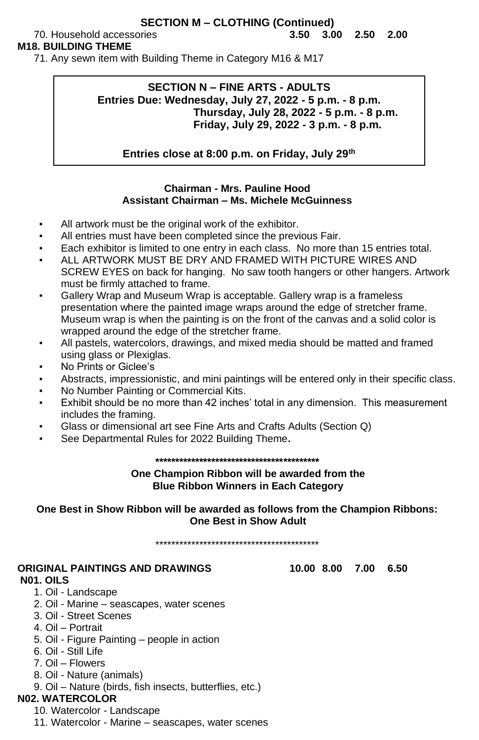### **SECTION M – CLOTHING (Continued)**

### **M18. BUILDING THEME**

71. Any sewn item with Building Theme in Category M16 & M17

## **SECTION N – FINE ARTS - ADULTS Entries Due: Wednesday, July 27, 2022 - 5 p.m. - 8 p.m. Thursday, July 28, 2022 - 5 p.m. - 8 p.m. Friday, July 29, 2022 - 3 p.m. - 8 p.m.**

**Entries close at 8:00 p.m. on Friday, July 29th**

### **Chairman - Mrs. Pauline Hood Assistant Chairman – Ms. Michele McGuinness**

- All artwork must be the original work of the exhibitor.
- All entries must have been completed since the previous Fair.
- Each exhibitor is limited to one entry in each class. No more than 15 entries total.
- ALL ARTWORK MUST BE DRY AND FRAMED WITH PICTURE WIRES AND SCREW EYES on back for hanging. No saw tooth hangers or other hangers. Artwork must be firmly attached to frame.
- Gallery Wrap and Museum Wrap is acceptable. Gallery wrap is a frameless presentation where the painted image wraps around the edge of stretcher frame. Museum wrap is when the painting is on the front of the canvas and a solid color is wrapped around the edge of the stretcher frame.
- All pastels, watercolors, drawings, and mixed media should be matted and framed using glass or Plexiglas.
- No Prints or Giclee's
- Abstracts, impressionistic, and mini paintings will be entered only in their specific class.
- No Number Painting or Commercial Kits.
- Exhibit should be no more than 42 inches' total in any dimension. This measurement includes the framing.
- Glass or dimensional art see Fine Arts and Crafts Adults (Section Q)
- See Departmental Rules for 2022 Building Theme.

### **\*\*\*\*\*\*\*\*\*\*\*\*\*\*\*\*\*\*\*\*\*\*\*\*\*\*\*\*\*\*\*\*\*\*\*\*\*\*\*\*\***

### **One Champion Ribbon will be awarded from the Blue Ribbon Winners in Each Category**

**One Best in Show Ribbon will be awarded as follows from the Champion Ribbons: One Best in Show Adult**

\*\*\*\*\*\*\*\*\*\*\*\*\*\*\*\*\*\*\*\*\*\*\*\*\*\*\*\*\*\*\*\*\*\*\*\*\*\*\*\*\*

### **ORIGINAL PAINTINGS AND DRAWINGS 10.00 8.00 7.00 6.50 N01. OILS**

- 1. Oil Landscape
- 2. Oil Marine seascapes, water scenes
- 3. Oil Street Scenes
- 4. Oil Portrait
- 5. Oil Figure Painting people in action
- 6. Oil Still Life
- 7. Oil Flowers
- 8. Oil Nature (animals)
- 9. Oil Nature (birds, fish insects, butterflies, etc.)

# **N02. WATERCOLOR**

- 10. Watercolor Landscape
- 11. Watercolor Marine seascapes, water scenes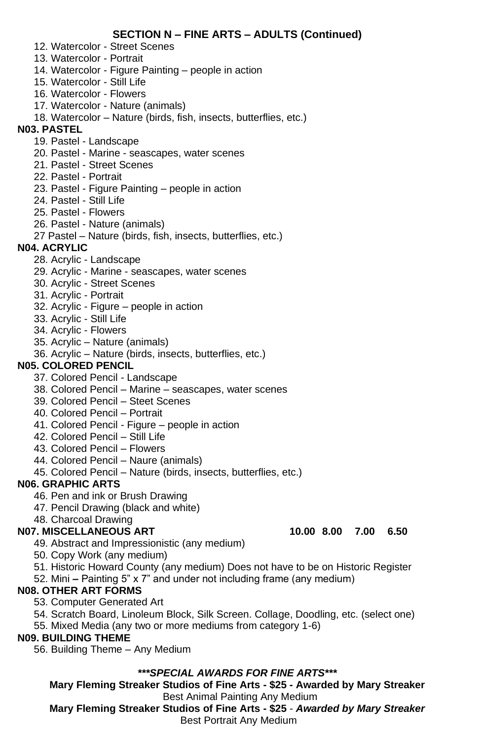### **SECTION N – FINE ARTS – ADULTS (Continued)**

- 12. Watercolor Street Scenes
- 13. Watercolor Portrait
- 14. Watercolor Figure Painting people in action
- 15. Watercolor Still Life
- 16. Watercolor Flowers
- 17. Watercolor Nature (animals)
- 18. Watercolor Nature (birds, fish, insects, butterflies, etc.)

### **N03. PASTEL**

- 19. Pastel Landscape
- 20. Pastel Marine seascapes, water scenes
- 21. Pastel Street Scenes
- 22. Pastel Portrait
- 23. Pastel Figure Painting people in action
- 24. Pastel Still Life
- 25. Pastel Flowers
- 26. Pastel Nature (animals)
- 27 Pastel Nature (birds, fish, insects, butterflies, etc.)

### **N04. ACRYLIC**

- 28. Acrylic Landscape
- 29. Acrylic Marine seascapes, water scenes
- 30. Acrylic Street Scenes
- 31. Acrylic Portrait
- 32. Acrylic Figure people in action
- 33. Acrylic Still Life
- 34. Acrylic Flowers
- 35. Acrylic Nature (animals)
- 36. Acrylic Nature (birds, insects, butterflies, etc.)

### **N05. COLORED PENCIL**

- 37. Colored Pencil Landscape
- 38. Colored Pencil Marine seascapes, water scenes
- 39. Colored Pencil Steet Scenes
- 40. Colored Pencil Portrait
- 41. Colored Pencil Figure people in action
- 42. Colored Pencil Still Life
- 43. Colored Pencil Flowers
- 44. Colored Pencil Naure (animals)
- 45. Colored Pencil Nature (birds, insects, butterflies, etc.)

### **N06. GRAPHIC ARTS**

- 46. Pen and ink or Brush Drawing
- 47. Pencil Drawing (black and white)
- 48. Charcoal Drawing

### **N07. MISCELLANEOUS ART 10.00 8.00 7.00 6.50**

- 49. Abstract and Impressionistic (any medium)
- 50. Copy Work (any medium)
- 51. Historic Howard County (any medium) Does not have to be on Historic Register
- 52. Mini **–** Painting 5" x 7" and under not including frame (any medium)

### **N08. OTHER ART FORMS**

- 53. Computer Generated Art
- 54. Scratch Board, Linoleum Block, Silk Screen. Collage, Doodling, etc. (select one)
- 55. Mixed Media (any two or more mediums from category 1-6)

### **N09. BUILDING THEME**

56. Building Theme – Any Medium

### *\*\*\*SPECIAL AWARDS FOR FINE ARTS\*\*\**

**Mary Fleming Streaker Studios of Fine Arts - \$25 - Awarded by Mary Streaker** Best Animal Painting Any Medium

**Mary Fleming Streaker Studios of Fine Arts - \$25** *- Awarded by Mary Streaker* Best Portrait Any Medium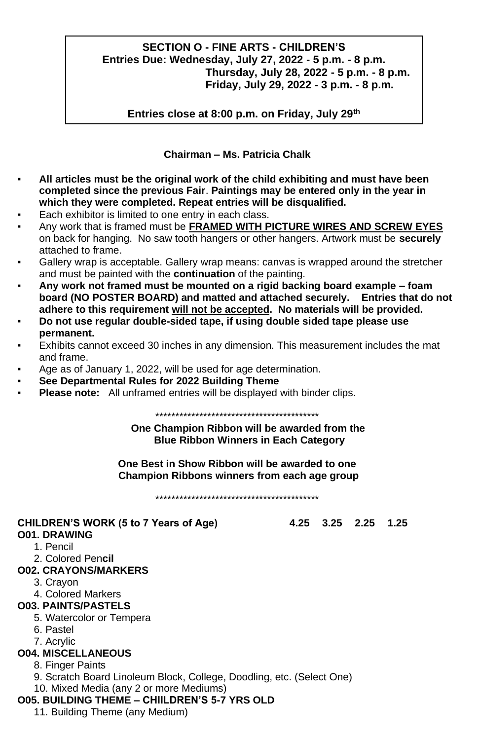### **SECTION O - FINE ARTS - CHILDREN'S Entries Due: Wednesday, July 27, 2022 - 5 p.m. - 8 p.m. Thursday, July 28, 2022 - 5 p.m. - 8 p.m. Friday, July 29, 2022 - 3 p.m. - 8 p.m.**

**Entries close at 8:00 p.m. on Friday, July 29th**

### **Chairman – Ms. Patricia Chalk**

- All articles must be the original work of the child exhibiting and must have been **completed since the previous Fair**. **Paintings may be entered only in the year in which they were completed. Repeat entries will be disqualified.**
- Each exhibitor is limited to one entry in each class.
- Any work that is framed must be **FRAMED WITH PICTURE WIRES AND SCREW EYES** on back for hanging. No saw tooth hangers or other hangers. Artwork must be **securely** attached to frame.
- Gallery wrap is acceptable. Gallery wrap means: canvas is wrapped around the stretcher and must be painted with the **continuation** of the painting.
- **Any work not framed must be mounted on a rigid backing board example – foam board (NO POSTER BOARD) and matted and attached securely. Entries that do not adhere to this requirement will not be accepted. No materials will be provided.**
- **Do not use regular double-sided tape, if using double sided tape please use permanent.**
- Exhibits cannot exceed 30 inches in any dimension. This measurement includes the mat and frame.
- Age as of January 1, 2022, will be used for age determination.
- **See Departmental Rules for 2022 Building Theme**
- **Please note:** All unframed entries will be displayed with binder clips.

\*\*\*\*\*\*\*\*\*\*\*\*\*\*\*\*\*\*\*\*\*\*\*\*\*\*\*\*\*\*\*\*\*\*\*\*\*\*\*\*\*

**One Champion Ribbon will be awarded from the Blue Ribbon Winners in Each Category** 

**One Best in Show Ribbon will be awarded to one Champion Ribbons winners from each age group**

\*\*\*\*\*\*\*\*\*\*\*\*\*\*\*\*\*\*\*\*\*\*\*\*\*\*\*\*\*\*\*\*\*\*\*\*\*\*\*\*\*

### **CHILDREN'S WORK (5 to 7 Years of Age) 4.25 3.25 2.25 1.25**

### **O01. DRAWING**

- 1. Pencil
- 2. Colored Pen**cil**

### **O02. CRAYONS/MARKERS**

- 3. Crayon
- 4. Colored Markers
- **O03. PAINTS/PASTELS**
	- 5. Watercolor or Tempera
	- 6. Pastel
	- 7. Acrylic

### **O04. MISCELLANEOUS**

- 8. Finger Paints
- 9. Scratch Board Linoleum Block, College, Doodling, etc. (Select One) 10. Mixed Media (any 2 or more Mediums)

### **O05. BUILDING THEME – CHIILDREN'S 5-7 YRS OLD**

11. Building Theme (any Medium)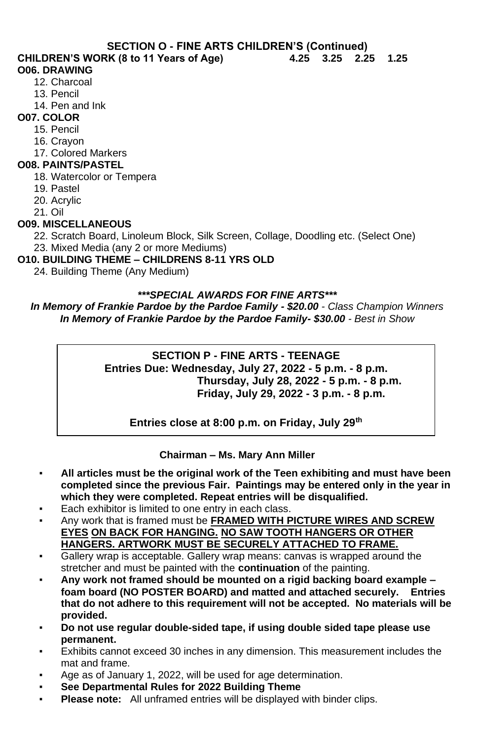**SECTION O - FINE ARTS CHILDREN'S (Continued)**

**CHILDREN'S WORK (8 to 11 Years of Age) 4.25 3.25 2.25 1.25**

### **O06. DRAWING**

- 12. Charcoal
- 13. Pencil
- 14. Pen and Ink
- **O07. COLOR**
	- 15. Pencil
	- 16. Crayon
	- 17. Colored Markers

### **O08. PAINTS/PASTEL**

- 18. Watercolor or Tempera
- 19. Pastel
- 20. Acrylic
- 21. Oil

### **O09. MISCELLANEOUS**

22. Scratch Board, Linoleum Block, Silk Screen, Collage, Doodling etc. (Select One) 23. Mixed Media (any 2 or more Mediums)

- **O10. BUILDING THEME – CHILDRENS 8-11 YRS OLD**
	- 24. Building Theme (Any Medium)

### *\*\*\*SPECIAL AWARDS FOR FINE ARTS\*\*\**

*In Memory of Frankie Pardoe by the Pardoe Family - \$20.00 - Class Champion Winners In Memory of Frankie Pardoe by the Pardoe Family- \$30.00 - Best in Show* 

### **SECTION P - FINE ARTS - TEENAGE Entries Due: Wednesday, July 27, 2022 - 5 p.m. - 8 p.m. Thursday, July 28, 2022 - 5 p.m. - 8 p.m. Friday, July 29, 2022 - 3 p.m. - 8 p.m.**

**Entries close at 8:00 p.m. on Friday, July 29th**

### **Chairman – Ms. Mary Ann Miller**

- All articles must be the original work of the Teen exhibiting and must have been **completed since the previous Fair. Paintings may be entered only in the year in which they were completed. Repeat entries will be disqualified.**
- Each exhibitor is limited to one entry in each class.
- Any work that is framed must be **FRAMED WITH PICTURE WIRES AND SCREW EYES ON BACK FOR HANGING. NO SAW TOOTH HANGERS OR OTHER HANGERS. ARTWORK MUST BE SECURELY ATTACHED TO FRAME.**
- **EXECUTE:** Gallery wrap is acceptable. Gallery wrap means: canvas is wrapped around the stretcher and must be painted with the **continuation** of the painting.
- **Any work not framed should be mounted on a rigid backing board example – foam board (NO POSTER BOARD) and matted and attached securely. Entries that do not adhere to this requirement will not be accepted. No materials will be provided.**
- **Do not use regular double-sided tape, if using double sided tape please use permanent.**
- Exhibits cannot exceed 30 inches in any dimension. This measurement includes the mat and frame.
- Age as of January 1, 2022, will be used for age determination.
- **See Departmental Rules for 2022 Building Theme**
- Please note: All unframed entries will be displayed with binder clips.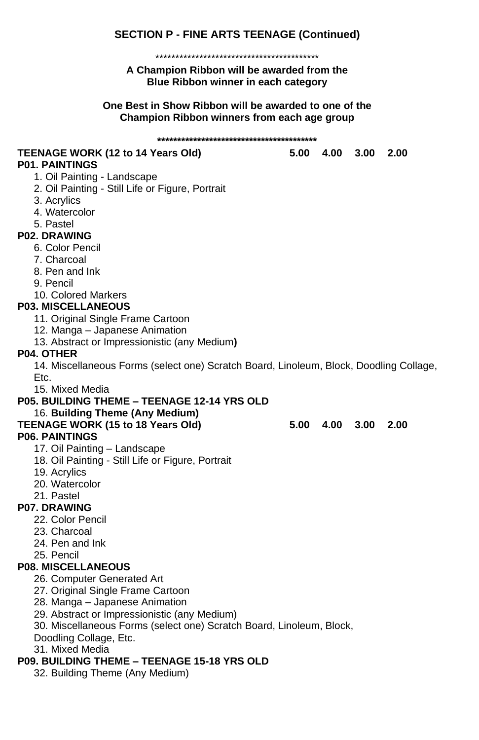# **SECTION P - FINE ARTS TEENAGE (Continued)**

### \*\*\*\*\*\*\*\*\*\*\*\*\*\*\*\*\*\*\*\*\*\*\*\*\*\*\*\*\*\*\*\*\*\*\*\*\*\*\*\*\*

### **A Champion Ribbon will be awarded from the Blue Ribbon winner in each category**

### **One Best in Show Ribbon will be awarded to one of the Champion Ribbon winners from each age group**

| TEENAGE WORK (12 to 14 Years Old)                                                      |      | 5.00 4.00 | 3.00 | 2.00 |
|----------------------------------------------------------------------------------------|------|-----------|------|------|
| <b>P01. PAINTINGS</b>                                                                  |      |           |      |      |
| 1. Oil Painting - Landscape                                                            |      |           |      |      |
| 2. Oil Painting - Still Life or Figure, Portrait                                       |      |           |      |      |
| 3. Acrylics                                                                            |      |           |      |      |
| 4. Watercolor                                                                          |      |           |      |      |
| 5. Pastel                                                                              |      |           |      |      |
| <b>P02. DRAWING</b>                                                                    |      |           |      |      |
| 6. Color Pencil                                                                        |      |           |      |      |
| 7. Charcoal                                                                            |      |           |      |      |
| 8. Pen and Ink                                                                         |      |           |      |      |
| 9. Pencil                                                                              |      |           |      |      |
| 10. Colored Markers                                                                    |      |           |      |      |
| <b>P03. MISCELLANEOUS</b>                                                              |      |           |      |      |
| 11. Original Single Frame Cartoon                                                      |      |           |      |      |
| 12. Manga - Japanese Animation                                                         |      |           |      |      |
| 13. Abstract or Impressionistic (any Medium)                                           |      |           |      |      |
| P04. OTHER                                                                             |      |           |      |      |
| 14. Miscellaneous Forms (select one) Scratch Board, Linoleum, Block, Doodling Collage, |      |           |      |      |
| Etc.                                                                                   |      |           |      |      |
| 15. Mixed Media                                                                        |      |           |      |      |
| <b>P05. BUILDING THEME - TEENAGE 12-14 YRS OLD</b>                                     |      |           |      |      |
| 16. Building Theme (Any Medium)                                                        |      |           |      |      |
| TEENAGE WORK (15 to 18 Years Old)                                                      | 5.00 | 4.00      | 3.00 | 2.00 |
| <b>P06. PAINTINGS</b>                                                                  |      |           |      |      |
| 17. Oil Painting - Landscape                                                           |      |           |      |      |
| 18. Oil Painting - Still Life or Figure, Portrait                                      |      |           |      |      |
| 19. Acrylics                                                                           |      |           |      |      |
| 20. Watercolor                                                                         |      |           |      |      |
| 21. Pastel                                                                             |      |           |      |      |
| <b>P07. DRAWING</b>                                                                    |      |           |      |      |
| 22. Color Pencil                                                                       |      |           |      |      |
| 23. Charcoal                                                                           |      |           |      |      |
| 24. Pen and Ink                                                                        |      |           |      |      |
| 25. Pencil                                                                             |      |           |      |      |
| <b>P08. MISCELLANEOUS</b>                                                              |      |           |      |      |
| 26. Computer Generated Art                                                             |      |           |      |      |
| 27. Original Single Frame Cartoon                                                      |      |           |      |      |
| 28. Manga - Japanese Animation                                                         |      |           |      |      |
| 29. Abstract or Impressionistic (any Medium)                                           |      |           |      |      |
| 30. Miscellaneous Forms (select one) Scratch Board, Linoleum, Block,                   |      |           |      |      |
| Doodling Collage, Etc.                                                                 |      |           |      |      |
| 31. Mixed Media                                                                        |      |           |      |      |
| P09. BUILDING THEME - TEENAGE 15-18 YRS OLD                                            |      |           |      |      |
| 32. Building Theme (Any Medium)                                                        |      |           |      |      |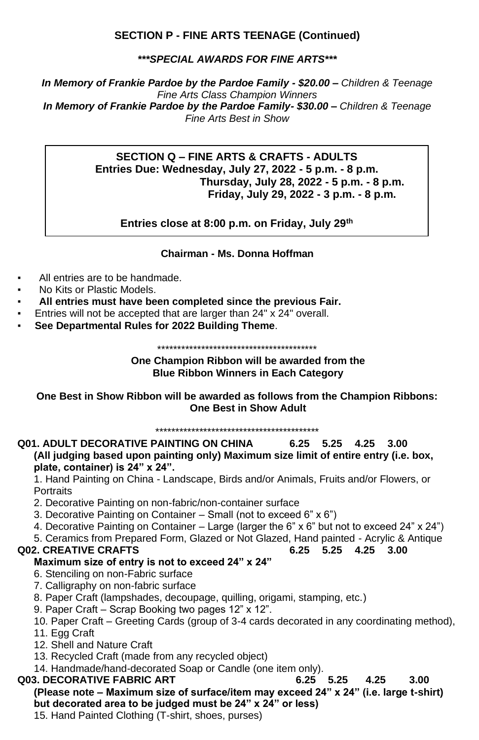### **SECTION P - FINE ARTS TEENAGE (Continued)**

*\*\*\*SPECIAL AWARDS FOR FINE ARTS\*\*\**

*In Memory of Frankie Pardoe by the Pardoe Family - \$20.00 – Children & Teenage Fine Arts Class Champion Winners In Memory of Frankie Pardoe by the Pardoe Family- \$30.00 – Children & Teenage Fine Arts Best in Show*

### **SECTION Q – FINE ARTS & CRAFTS - ADULTS Entries Due: Wednesday, July 27, 2022 - 5 p.m. - 8 p.m. Thursday, July 28, 2022 - 5 p.m. - 8 p.m. Friday, July 29, 2022 - 3 p.m. - 8 p.m.**

**Entries close at 8:00 p.m. on Friday, July 29th**

### **Chairman - Ms. Donna Hoffman**

- All entries are to be handmade.
- No Kits or Plastic Models.
- All entries must have been completed since the previous Fair.
- Entries will not be accepted that are larger than 24" x 24" overall.
- **See Departmental Rules for 2022 Building Theme**.

\*\*\*\*\*\*\*\*\*\*\*\*\*\*\*\*\*\*\*\*\*\*\*\*\*\*\*\*\*\*\*\*\*\*\*\*\*\*\*\*

### **One Champion Ribbon will be awarded from the Blue Ribbon Winners in Each Category**

**One Best in Show Ribbon will be awarded as follows from the Champion Ribbons: One Best in Show Adult**

\*\*\*\*\*\*\*\*\*\*\*\*\*\*\*\*\*\*\*\*\*\*\*\*\*\*\*\*\*\*\*\*\*\*\*\*\*\*\*\*\*

### **Q01. ADULT DECORATIVE PAINTING ON CHINA 6.25 5.25 4.25 3.00 (All judging based upon painting only) Maximum size limit of entire entry (i.e. box, plate, container) is 24" x 24".**

1. Hand Painting on China - Landscape, Birds and/or Animals, Fruits and/or Flowers, or **Portraits** 

- 2. Decorative Painting on non-fabric/non-container surface
- 3. Decorative Painting on Container Small (not to exceed 6" x 6")
- 4. Decorative Painting on Container Large (larger the 6" x 6" but not to exceed 24" x 24")
- 5. Ceramics from Prepared Form, Glazed or Not Glazed, Hand painted Acrylic & Antique

### **Q02. CREATIVE CRAFTS 6.25 5.25 4.25 3.00**

### **Maximum size of entry is not to exceed 24" x 24"**

- 6. Stenciling on non-Fabric surface
- 7. Calligraphy on non-fabric surface
- 8. Paper Craft (lampshades, decoupage, quilling, origami, stamping, etc.)
- 9. Paper Craft Scrap Booking two pages 12" x 12".
- 10. Paper Craft Greeting Cards (group of 3-4 cards decorated in any coordinating method),
- 11. Egg Craft
- 12. Shell and Nature Craft
- 13. Recycled Craft (made from any recycled object)
- 14. Handmade/hand-decorated Soap or Candle (one item only).

### **Q03. DECORATIVE FABRIC ART 6.25 5.25 4.25 3.00 (Please note – Maximum size of surface/item may exceed 24" x 24" (i.e. large t-shirt) but decorated area to be judged must be 24" x 24" or less)**

15. Hand Painted Clothing (T-shirt, shoes, purses)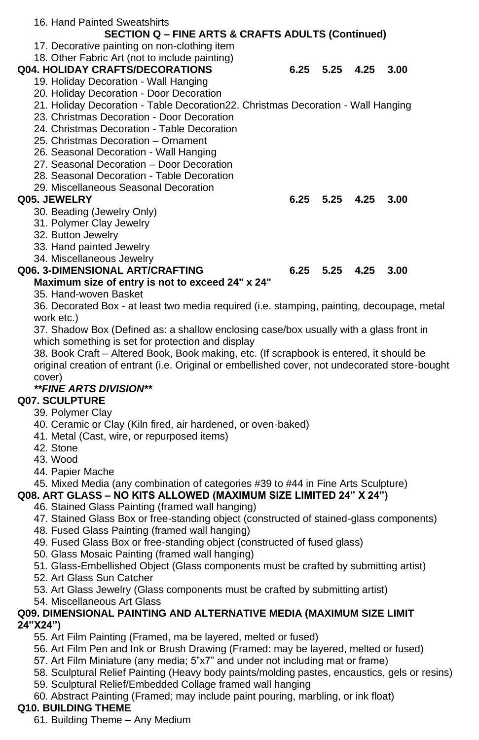| 16. Hand Painted Sweatshirts                                                               |                      |      |  |
|--------------------------------------------------------------------------------------------|----------------------|------|--|
| <b>SECTION Q - FINE ARTS &amp; CRAFTS ADULTS (Continued)</b>                               |                      |      |  |
| 17. Decorative painting on non-clothing item                                               |                      |      |  |
| 18. Other Fabric Art (not to include painting)                                             |                      |      |  |
| <b>Q04. HOLIDAY CRAFTS/DECORATIONS</b>                                                     | $6.25$ $5.25$ $4.25$ | 3.00 |  |
| 19. Holiday Decoration - Wall Hanging                                                      |                      |      |  |
| 20. Holiday Decoration - Door Decoration                                                   |                      |      |  |
| 21. Holiday Decoration - Table Decoration 22. Christmas Decoration - Wall Hanging          |                      |      |  |
| 23. Christmas Decoration - Door Decoration                                                 |                      |      |  |
| 24. Christmas Decoration - Table Decoration                                                |                      |      |  |
| 25. Christmas Decoration - Ornament                                                        |                      |      |  |
| 26. Seasonal Decoration - Wall Hanging                                                     |                      |      |  |
| 27. Seasonal Decoration - Door Decoration                                                  |                      |      |  |
| 28. Seasonal Decoration - Table Decoration                                                 |                      |      |  |
| 29. Miscellaneous Seasonal Decoration                                                      |                      |      |  |
| Q05. JEWELRY                                                                               | $6.25$ $5.25$ $4.25$ | 3.00 |  |
| 30. Beading (Jewelry Only)                                                                 |                      |      |  |
| 31. Polymer Clay Jewelry                                                                   |                      |      |  |
| 32. Button Jewelry                                                                         |                      |      |  |
| 33. Hand painted Jewelry                                                                   |                      |      |  |
| 34. Miscellaneous Jewelry                                                                  |                      |      |  |
| Q06. 3-DIMENSIONAL ART/CRAFTING                                                            | $6.25$ $5.25$ $4.25$ | 3.00 |  |
| Maximum size of entry is not to exceed 24" x 24"                                           |                      |      |  |
| 35. Hand-woven Basket                                                                      |                      |      |  |
| 36. Decorated Box - at least two media required (i.e. stamping, painting, decoupage, metal |                      |      |  |
| work etc.)                                                                                 |                      |      |  |
| 37. Shadow Box (Defined as: a shallow enclosing case/box usually with a glass front in     |                      |      |  |
| which something is set for protection and display                                          |                      |      |  |
| 38. Book Craft – Altered Book, Book making, etc. (If scrapbook is entered, it should be    |                      |      |  |

original creation of entrant (i.e. Original or embellished cover, not undecorated store-bought cover)

### *\*\*FINE ARTS DIVISION\*\**

### **Q07. SCULPTURE**

- 39. Polymer Clay
- 40. Ceramic or Clay (Kiln fired, air hardened, or oven-baked)
- 41. Metal (Cast, wire, or repurposed items)
- 42. Stone
- 43. Wood
- 44. Papier Mache

### 45. Mixed Media (any combination of categories #39 to #44 in Fine Arts Sculpture)

### **Q08. ART GLASS – NO KITS ALLOWED (MAXIMUM SIZE LIMITED 24" X 24")**

- 46. Stained Glass Painting (framed wall hanging)
- 47. Stained Glass Box or free-standing object (constructed of stained-glass components)
- 48. Fused Glass Painting (framed wall hanging)
- 49. Fused Glass Box or free-standing object (constructed of fused glass)
- 50. Glass Mosaic Painting (framed wall hanging)
- 51. Glass-Embellished Object (Glass components must be crafted by submitting artist)
- 52. Art Glass Sun Catcher
- 53. Art Glass Jewelry (Glass components must be crafted by submitting artist)
- 54. Miscellaneous Art Glass

### **Q09. DIMENSIONAL PAINTING AND ALTERNATIVE MEDIA (MAXIMUM SIZE LIMIT 24"X24")**

- 55. Art Film Painting (Framed, ma be layered, melted or fused)
- 56. Art Film Pen and Ink or Brush Drawing (Framed: may be layered, melted or fused)
- 57. Art Film Miniature (any media; 5"x7" and under not including mat or frame)
- 58. Sculptural Relief Painting (Heavy body paints/molding pastes, encaustics, gels or resins)
- 59. Sculptural Relief/Embedded Collage framed wall hanging
- 60. Abstract Painting (Framed; may include paint pouring, marbling, or ink float)

# **Q10. BUILDING THEME**

61. Building Theme – Any Medium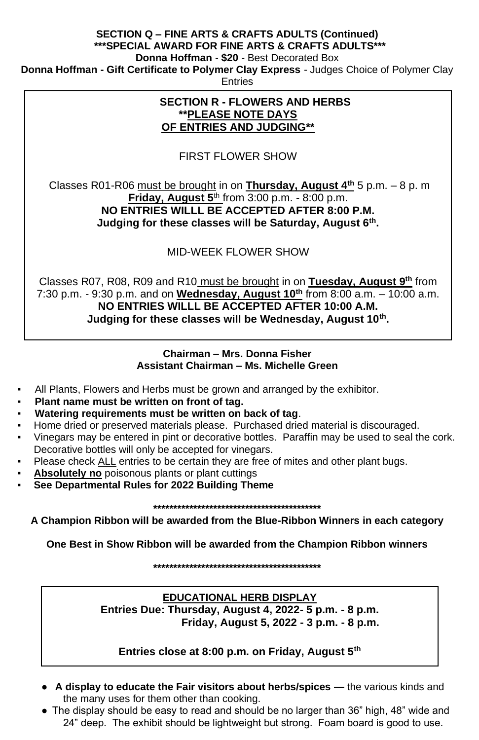### **SECTION Q – FINE ARTS & CRAFTS ADULTS (Continued) \*\*\*SPECIAL AWARD FOR FINE ARTS & CRAFTS ADULTS\*\*\***

**Donna Hoffman** - **\$20** *-* Best Decorated Box

**Donna Hoffman - Gift Certificate to Polymer Clay Express** *-* Judges Choice of Polymer Clay

**Entries** 

### **SECTION R - FLOWERS AND HERBS \*\*PLEASE NOTE DAYS OF ENTRIES AND JUDGING\*\***

FIRST FLOWER SHOW

Classes R01-R06 must be brought in on **Thursday, August 4th** 5 p.m. – 8 p. m **Friday, August 5**th from 3:00 p.m. - 8:00 p.m. **NO ENTRIES WILLL BE ACCEPTED AFTER 8:00 P.M. Judging for these classes will be Saturday, August 6th .** 

MID-WEEK FLOWER SHOW

Classes R07, R08, R09 and R10 must be brought in on **Tuesday, August 9th** from 7:30 p.m. - 9:30 p.m. and on **Wednesday, August 10th** from 8:00 a.m. – 10:00 a.m. **NO ENTRIES WILLL BE ACCEPTED AFTER 10:00 A.M. Judging for these classes will be Wednesday, August 10th .**

### **Chairman – Mrs. Donna Fisher Assistant Chairman – Ms. Michelle Green**

- All Plants, Flowers and Herbs must be grown and arranged by the exhibitor.
- Plant name must be written on front of tag.
- **Watering requirements must be written on back of tag.**
- Home dried or preserved materials please. Purchased dried material is discouraged.
- Vinegars may be entered in pint or decorative bottles. Paraffin may be used to seal the cork. Decorative bottles will only be accepted for vinegars.
- Please check ALL entries to be certain they are free of mites and other plant bugs.
- **Absolutely no** poisonous plants or plant cuttings
- **See Departmental Rules for 2022 Building Theme**

**\*\*\*\*\*\*\*\*\*\*\*\*\*\*\*\*\*\*\*\*\*\*\*\*\*\*\*\*\*\*\*\*\*\*\*\*\*\*\*\*\*\***

**A Champion Ribbon will be awarded from the Blue-Ribbon Winners in each category**

**One Best in Show Ribbon will be awarded from the Champion Ribbon winners**

**\*\*\*\*\*\*\*\*\*\*\*\*\*\*\*\*\*\*\*\*\*\*\*\*\*\*\*\*\*\*\*\*\*\*\*\*\*\*\*\*\*\***

**EDUCATIONAL HERB DISPLAY Entries Due: Thursday, August 4, 2022- 5 p.m. - 8 p.m. Friday, August 5, 2022 - 3 p.m. - 8 p.m.**

### **Entries close at 8:00 p.m. on Friday, August 5th**

- **A display to educate the Fair visitors about herbs/spices —** the various kinds and the many uses for them other than cooking.
- The display should be easy to read and should be no larger than 36" high, 48" wide and 24" deep. The exhibit should be lightweight but strong. Foam board is good to use.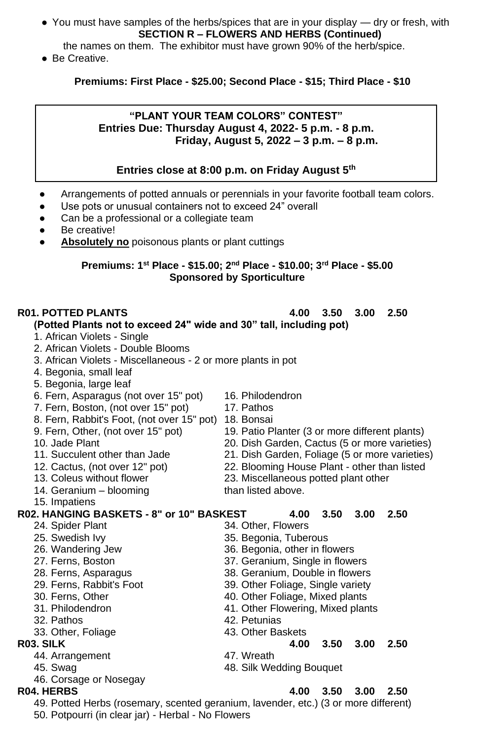- You must have samples of the herbs/spices that are in your display dry or fresh, with **SECTION R – FLOWERS AND HERBS (Continued)**
- the names on them. The exhibitor must have grown 90% of the herb/spice.
- Be Creative.

### **Premiums: First Place - \$25.00; Second Place - \$15; Third Place - \$10**

### **"PLANT YOUR TEAM COLORS" CONTEST" Entries Due: Thursday August 4, 2022- 5 p.m. - 8 p.m. Friday, August 5, 2022 – 3 p.m. – 8 p.m.**

### **Entries close at 8:00 p.m. on Friday August 5th**

- Arrangements of potted annuals or perennials in your favorite football team colors.
- Use pots or unusual containers not to exceed 24" overall
- Can be a professional or a collegiate team
- Be creative!
- Absolutely no poisonous plants or plant cuttings

### **Premiums: 1 st Place - \$15.00; 2nd Place - \$10.00; 3rd Place - \$5.00 Sponsored by Sporticulture**

### **R01. POTTED PLANTS 4.00 3.50 3.00 2.50**

### **(Potted Plants not to exceed 24" wide and 30" tall, including pot)**

- 1. African Violets Single
- 2. African Violets Double Blooms
- 3. African Violets Miscellaneous 2 or more plants in pot
- 4. Begonia, small leaf
- 5. Begonia, large leaf
- 6. Fern, Asparagus (not over 15" pot) 16. Philodendron
- 7. Fern, Boston, (not over 15" pot) 17. Pathos
- 
- 8. Fern, Rabbit's Foot, (not over 15" pot) 18. Bonsai<br>9. Fern, Other, (not over 15" pot) 19. Patio P
- 
- 
- 
- 
- 14. Geranium blooming than listed above.
- 15. Impatiens

# **R02. HANGING BASKETS - 8" or 10" BASKEST 4.00 3.50 3.00 2.50**

- 
- 25. Swedish Ivy **35. Begonia**, Tuberous
- 
- 
- 
- 29. Ferns, Rabbit's Foot 39. Other Foliage, Single variety
- 
- 
- 
- 33. Other, Foliage 43. Other Baskets

- 44. Arrangement 47. Wreath
- 
- 46. Corsage or Nosegay
- 
- 
- 
- 
- 
- 9. Fern, Other, (not over 15" pot) 19. Patio Planter (3 or more different plants)<br>10. Jade Plant 10. 20. Dish Garden. Cactus (5 or more varieties 20. Dish Garden, Cactus (5 or more varieties)
- 11. Succulent other than Jade 21. Dish Garden, Foliage (5 or more varieties)
- 12. Cactus, (not over 12" pot) 22. Blooming House Plant other than listed
- 13. Coleus without flower 23. Miscellaneous potted plant other
	-

# 24. Spider Plant 34. Other, Flowers

- 
- 26. Wandering Jew 36. Begonia, other in flowers
- 27. Ferns, Boston 37. Geranium, Single in flowers
- 28. Ferns, Asparagus 38. Geranium, Double in flowers
	-
- 30. Ferns, Other 40. Other Foliage, Mixed plants
- 31. Philodendron 41. Other Flowering, Mixed plants
- 32. Pathos 42. Petunias
	-
- **R03. SILK 4.00 3.50 3.00 2.50**
	-
	- 45. Swag 48. Silk Wedding Bouquet

# **R04. HERBS 4.00 3.50 3.00 2.50**

49. Potted Herbs (rosemary, scented geranium, lavender, etc.) (3 or more different) 50. Potpourri (in clear jar) - Herbal - No Flowers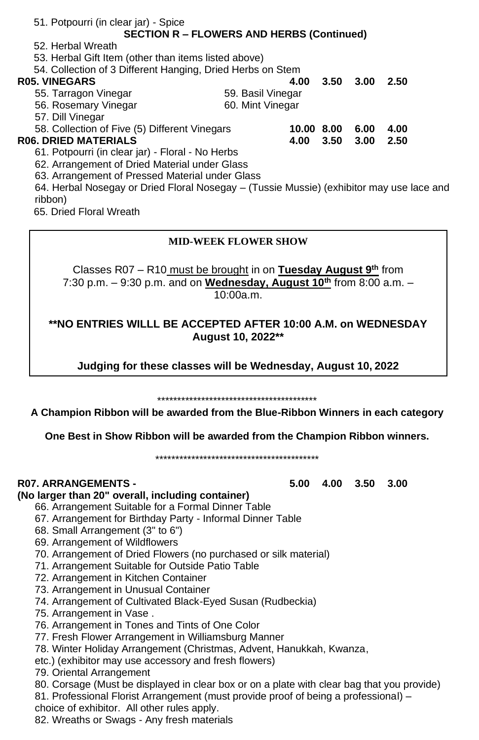| 51. Potpourri (in clear jar) - Spice                                                     |                   |            |      |      |      |  |
|------------------------------------------------------------------------------------------|-------------------|------------|------|------|------|--|
| <b>SECTION R - FLOWERS AND HERBS (Continued)</b>                                         |                   |            |      |      |      |  |
| 52. Herbal Wreath                                                                        |                   |            |      |      |      |  |
| 53. Herbal Gift Item (other than items listed above)                                     |                   |            |      |      |      |  |
| 54. Collection of 3 Different Hanging, Dried Herbs on Stem                               |                   |            |      |      |      |  |
| <b>R05. VINEGARS</b>                                                                     |                   | 4.00       | 3.50 | 3.00 | 2.50 |  |
| 55. Tarragon Vinegar                                                                     | 59. Basil Vinegar |            |      |      |      |  |
| 56. Rosemary Vinegar                                                                     | 60. Mint Vinegar  |            |      |      |      |  |
| 57. Dill Vinegar                                                                         |                   |            |      |      |      |  |
| 58. Collection of Five (5) Different Vinegars                                            |                   | 10.00 8.00 |      | 6.00 | 4.00 |  |
| <b>R06. DRIED MATERIALS</b>                                                              |                   | 4.00       | 3.50 | 3.00 | 2.50 |  |
| 61. Potpourri (in clear jar) - Floral - No Herbs                                         |                   |            |      |      |      |  |
| 62. Arrangement of Dried Material under Glass                                            |                   |            |      |      |      |  |
| 63. Arrangement of Pressed Material under Glass                                          |                   |            |      |      |      |  |
| 64. Herbal Nosegay or Dried Floral Nosegay – (Tussie Mussie) (exhibitor may use lace and |                   |            |      |      |      |  |
|                                                                                          |                   |            |      |      |      |  |

ribbon)

65. Dried Floral Wreath

### **MID-WEEK FLOWER SHOW**

Classes R07 – R10 must be brought in on **Tuesday August 9th** from 7:30 p.m. – 9:30 p.m. and on **Wednesday, August 10th** from 8:00 a.m. – 10:00a.m.

**\*\*NO ENTRIES WILLL BE ACCEPTED AFTER 10:00 A.M. on WEDNESDAY August 10, 2022\*\***

**Judging for these classes will be Wednesday, August 10, 2022**

\*\*\*\*\*\*\*\*\*\*\*\*\*\*\*\*\*\*\*\*\*\*\*\*\*\*\*\*\*\*\*\*\*\*\*\*\*\*\*\*

**A Champion Ribbon will be awarded from the Blue-Ribbon Winners in each category**

**One Best in Show Ribbon will be awarded from the Champion Ribbon winners.**

\*\*\*\*\*\*\*\*\*\*\*\*\*\*\*\*\*\*\*\*\*\*\*\*\*\*\*\*\*\*\*\*\*\*\*\*\*\*\*\*\*

**(No larger than 20" overall, including container)**

66. Arrangement Suitable for a Formal Dinner Table

- 67. Arrangement for Birthday Party Informal Dinner Table
- 68. Small Arrangement (3" to 6")
- 69. Arrangement of Wildflowers
- 70. Arrangement of Dried Flowers (no purchased or silk material)
- 71. Arrangement Suitable for Outside Patio Table
- 72. Arrangement in Kitchen Container
- 73. Arrangement in Unusual Container
- 74. Arrangement of Cultivated Black-Eyed Susan (Rudbeckia)
- 75. Arrangement in Vase .
- 76. Arrangement in Tones and Tints of One Color
- 77. Fresh Flower Arrangement in Williamsburg Manner
- 78. Winter Holiday Arrangement (Christmas, Advent, Hanukkah, Kwanza,
- etc.) (exhibitor may use accessory and fresh flowers)
- 79. Oriental Arrangement
- 80. Corsage (Must be displayed in clear box or on a plate with clear bag that you provide)
- 81. Professional Florist Arrangement (must provide proof of being a professional) –
- choice of exhibitor. All other rules apply.

82. Wreaths or Swags - Any fresh materials

**R07. ARRANGEMENTS - 5.00 4.00 3.50 3.00**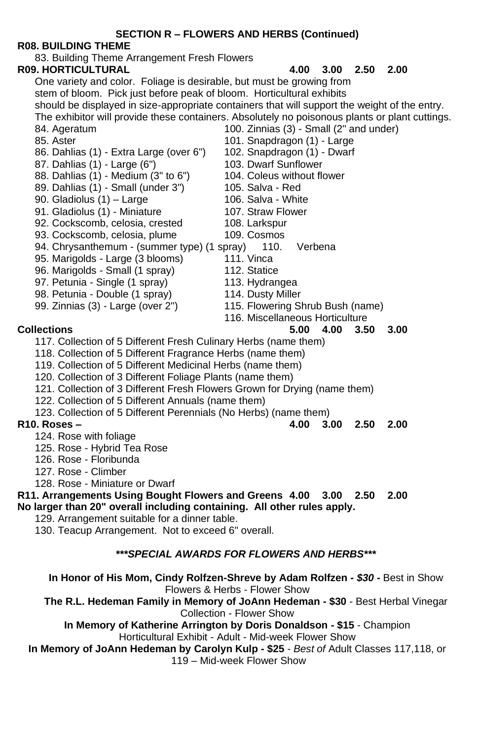### **SECTION R – FLOWERS AND HERBS (Continued)**

### **R08. BUILDING THEME**

83. Building Theme Arrangement Fresh Flowers

**R09. HORTICULTURAL 4.00 3.00 2.50 2.00** One variety and color. Foliage is desirable, but must be growing from stem of bloom. Pick just before peak of bloom. Horticultural exhibits should be displayed in size-appropriate containers that will support the weight of the entry. The exhibitor will provide these containers. Absolutely no poisonous plants or plant cuttings. 84. Ageratum 100. Zinnias (3) - Small (2" and under)

- 
- 85. Aster 101. Snapdragon (1) Large 101. Snapdragon (1) Large 101. Snapdragon (1) Dwarf 86. Dahlias (1) - Extra Large (over 6") 102. Snapdragon (1) - 87. Dahlias (1) - Dahlias (1) - Dwarf Sunflower
- 87. Dahlias (1) Large (6")
- 88. Dahlias (1) Medium (3" to 6") 104. Coleus without flower<br>89. Dahlias (1) Small (under 3") 105. Salva Red
- 89. Dahlias (1) Small (under 3") 105. Salva Red<br>90. Gladiolus (1) Large 106. Salva White
- 
- 90. Gladiolus (1) Large 106. Salva White<br>91. Gladiolus (1) Miniature 107. Straw Flower 91. Gladiolus (1) - Miniature
- 92. Cockscomb, celosia, crested 108. Larkspur
- 93. Cockscomb, celosia, plume 109. Cosmos
- 94. Chrysanthemum (summer type) (1 spray) 110. Verbena
- 95. Marigolds Large (3 blooms) 111. Vinca
- 96. Marigolds Small (1 spray) 112. Statice
- 97. Petunia Single (1 spray) 113. Hydrangea
- 
- 98. Petunia Double (1 spray) 114. Dusty Miller<br>99. Zinnias (3) Large (over 2") 115. Flowering S
	- - 116. Miscellaneous Horticulture

- 117. Collection of 5 Different Fresh Culinary Herbs (name them)
- 118. Collection of 5 Different Fragrance Herbs (name them)
- 119. Collection of 5 Different Medicinal Herbs (name them)
- 120. Collection of 3 Different Foliage Plants (name them)
- 121. Collection of 3 Different Fresh Flowers Grown for Drying (name them)
- 122. Collection of 5 Different Annuals (name them)
- 123. Collection of 5 Different Perennials (No Herbs) (name them)

### **R10. Roses – 4.00 3.00 2.50 2.00**

- 124. Rose with foliage
- 125. Rose Hybrid Tea Rose
- 126. Rose Floribunda
- 127. Rose Climber
- 128. Rose Miniature or Dwarf

### **R11. Arrangements Using Bought Flowers and Greens 4.00 3.00 2.50 2.00 No larger than 20" overall including containing. All other rules apply.**

- 129. Arrangement suitable for a dinner table.
- 130. Teacup Arrangement. Not to exceed 6" overall.

### *\*\*\*SPECIAL AWARDS FOR FLOWERS AND HERBS\*\*\**

**In Honor of His Mom, Cindy Rolfzen-Shreve by Adam Rolfzen** *- \$30 -* Best in Show Flowers & Herbs - Flower Show

**The R.L. Hedeman Family in Memory of JoAnn Hedeman - \$30** - Best Herbal Vinegar Collection - Flower Show

**In Memory of Katherine Arrington by Doris Donaldson - \$15** *-* Champion

Horticultural Exhibit - Adult - Mid-week Flower Show

**In Memory of JoAnn Hedeman by Carolyn Kulp - \$25** *- Best of* Adult Classes 117,118, or 119 – Mid-week Flower Show

- 
- 115. Flowering Shrub Bush (name)
- -
	-
- **Collections 5.00 4.00 3.50 3.00**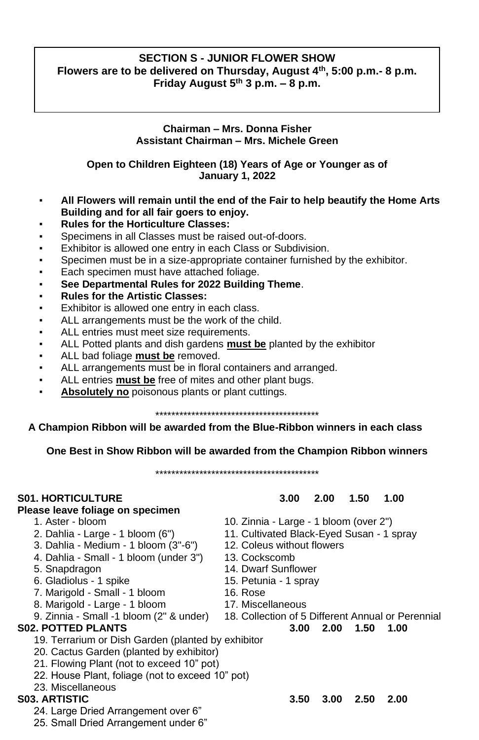### **SECTION S - JUNIOR FLOWER SHOW Flowers are to be delivered on Thursday, August 4th, 5:00 p.m.- 8 p.m. Friday August 5th 3 p.m. – 8 p.m.**

### **Chairman – Mrs. Donna Fisher Assistant Chairman – Mrs. Michele Green**

**Open to Children Eighteen (18) Years of Age or Younger as of January 1, 2022**

- **All Flowers will remain until the end of the Fair to help beautify the Home Arts Building and for all fair goers to enjoy.**
- **Rules for the Horticulture Classes:**
- **•** Specimens in all Classes must be raised out-of-doors.
- Exhibitor is allowed one entry in each Class or Subdivision.
- Specimen must be in a size-appropriate container furnished by the exhibitor.
- **Each specimen must have attached foliage.**
- **See Departmental Rules for 2022 Building Theme**.
- **Rules for the Artistic Classes:**
- Exhibitor is allowed one entry in each class.
- ALL arrangements must be the work of the child.
- ALL entries must meet size requirements.
- ALL Potted plants and dish gardens **must be** planted by the exhibitor
- ALL bad foliage **must be** removed.
- ALL arrangements must be in floral containers and arranged.
- ALL entries **must be** free of mites and other plant bugs.
- Absolutely no poisonous plants or plant cuttings.

\*\*\*\*\*\*\*\*\*\*\*\*\*\*\*\*\*\*\*\*\*\*\*\*\*\*\*\*\*\*\*\*\*\*\*\*\*\*\*\*\*

### **A Champion Ribbon will be awarded from the Blue-Ribbon winners in each class**

**One Best in Show Ribbon will be awarded from the Champion Ribbon winners**

\*\*\*\*\*\*\*\*\*\*\*\*\*\*\*\*\*\*\*\*\*\*\*\*\*\*\*\*\*\*\*\*\*\*\*\*\*\*\*\*\*

### **Please leave foliage on specimen**

- 
- 
- 3. Dahlia Medium 1 bloom (3"-6") 12. Coleus without flowers
- 4. Dahlia Small 1 bloom (under 3") 13. Cockscomb
- 
- 6. Gladiolus 1 spike 15. Petunia 1 spray
- 7. Marigold Small 1 bloom 16. Rose
- 8. Marigold Large 1 bloom 17. Miscellaneous<br>9. Zinnia Small -1 bloom (2" & under) 18. Collection of 5
- 

### **S02. POTTED PLANTS 3.00 2.00 1.50 1.00**

- 19. Terrarium or Dish Garden (planted by exhibitor
- 20. Cactus Garden (planted by exhibitor)
- 21. Flowing Plant (not to exceed 10" pot)
- 22. House Plant, foliage (not to exceed 10" pot)
- 23. Miscellaneous

- 24. Large Dried Arrangement over 6"
- 25. Small Dried Arrangement under 6"

### **S01. HORTICULTURE 3.00 2.00 1.50 1.00**

- 1. Aster bloom 10. Zinnia Large 1 bloom (over 2")
- 2. Dahlia Large 1 bloom (6") 11. Cultivated Black-Eyed Susan 1 spray
	-
	-
- 5. Snapdragon 14. Dwarf Sunflower
	-
	-
	-
	- 18. Collection of 5 Different Annual or Perennial
		-

**S03. ARTISTIC 3.50 3.00 2.50 2.00**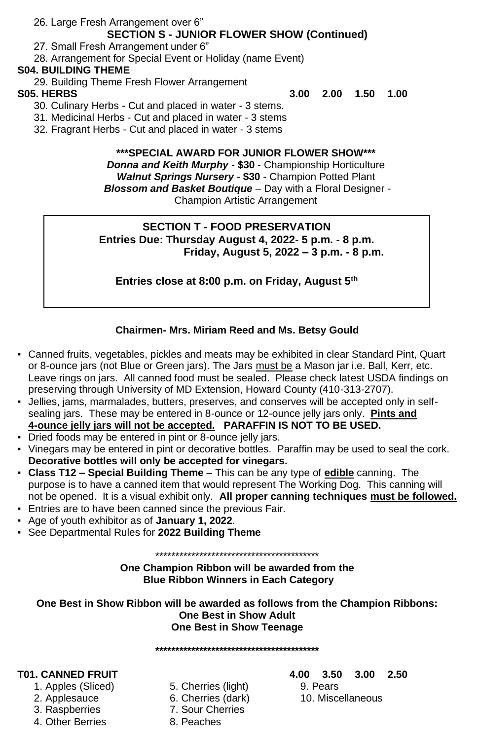26. Large Fresh Arrangement over 6"

# **SECTION S - JUNIOR FLOWER SHOW (Continued)**

27. Small Fresh Arrangement under 6"

28. Arrangement for Special Event or Holiday (name Event)

### **S04. BUILDING THEME**

29. Building Theme Fresh Flower Arrangement

**S05. HERBS 3.00 2.00 1.50 1.00**

30. Culinary Herbs - Cut and placed in water - 3 stems.

31. Medicinal Herbs - Cut and placed in water - 3 stems

32. Fragrant Herbs - Cut and placed in water - 3 stems

### **\*\*\*SPECIAL AWARD FOR JUNIOR FLOWER SHOW\*\*\***

*Donna and Keith Murphy -* **\$30** - Championship Horticulture *Walnut Springs Nursery* - **\$30** - Champion Potted Plant *Blossom and Basket Boutique* – Day with a Floral Designer - Champion Artistic Arrangement

### **SECTION T - FOOD PRESERVATION Entries Due: Thursday August 4, 2022- 5 p.m. - 8 p.m. Friday, August 5, 2022 – 3 p.m. - 8 p.m.**

**Entries close at 8:00 p.m. on Friday, August 5th**

### **Chairmen- Mrs. Miriam Reed and Ms. Betsy Gould**

- Canned fruits, vegetables, pickles and meats may be exhibited in clear Standard Pint, Quart or 8-ounce jars (not Blue or Green jars). The Jars must be a Mason jar i.e. Ball, Kerr, etc. Leave rings on jars. All canned food must be sealed. Please check latest USDA findings on preserving through University of MD Extension, Howard County (410-313-2707).
- Jellies, jams, marmalades, butters, preserves, and conserves will be accepted only in selfsealing jars. These may be entered in 8-ounce or 12-ounce jelly jars only. **Pints and 4-ounce jelly jars will not be accepted. PARAFFIN IS NOT TO BE USED.**
- Dried foods may be entered in pint or 8-ounce jelly jars.
- Vinegars may be entered in pint or decorative bottles. Paraffin may be used to seal the cork. **Decorative bottles will only be accepted for vinegars.**
- **Class T12 – Special Building Theme**  This can be any type of **edible** canning. The purpose is to have a canned item that would represent The Working Dog. This canning will not be opened. It is a visual exhibit only. **All proper canning techniques must be followed.**
- Entries are to have been canned since the previous Fair.
- Age of youth exhibitor as of **January 1, 2022**.
- See Departmental Rules for **2022 Building Theme**

\*\*\*\*\*\*\*\*\*\*\*\*\*\*\*\*\*\*\*\*\*\*\*\*\*\*\*\*\*\*\*\*\*\*\*\*\*\*\*\*\*

**One Champion Ribbon will be awarded from the Blue Ribbon Winners in Each Category** 

**One Best in Show Ribbon will be awarded as follows from the Champion Ribbons: One Best in Show Adult One Best in Show Teenage**

**\*\*\*\*\*\*\*\*\*\*\*\*\*\*\*\*\*\*\*\*\*\*\*\*\*\*\*\*\*\*\*\*\*\*\*\*\*\*\*\*\***

- 
- 
- 3. Raspberries 7. Sour Cherries
- 4. Other Berries 8. Peaches
- 1. Apples (Sliced) 5. Cherries (light) 9. Pears 2. Applesauce 6. Cherries (dark) 10. Miscellaneous
	-

### **T01. CANNED FRUIT 4.00 3.50 3.00 2.50**

- 
-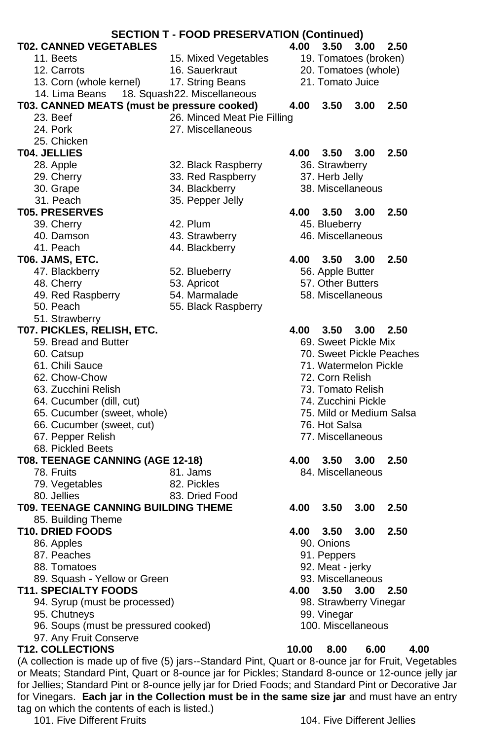| <b>SECTION T - FOOD PRESERVATION (Continued)</b> |                             |                                                                                                                                                                                                           |  |  |
|--------------------------------------------------|-----------------------------|-----------------------------------------------------------------------------------------------------------------------------------------------------------------------------------------------------------|--|--|
| <b>T02. CANNED VEGETABLES</b>                    |                             | 4.00<br>3.50<br>3.00<br>2.50                                                                                                                                                                              |  |  |
| 11. Beets                                        | 15. Mixed Vegetables        | 19. Tomatoes (broken)                                                                                                                                                                                     |  |  |
| 12. Carrots                                      | 16. Sauerkraut              | 20. Tomatoes (whole)                                                                                                                                                                                      |  |  |
| 13. Corn (whole kernel)                          | 17. String Beans            | 21. Tomato Juice                                                                                                                                                                                          |  |  |
| 14. Lima Beans                                   | 18. Squash22. Miscellaneous |                                                                                                                                                                                                           |  |  |
| T03. CANNED MEATS (must be pressure cooked)      |                             | 4.00<br>3.50<br>3.00<br>2.50                                                                                                                                                                              |  |  |
| 23. Beef                                         | 26. Minced Meat Pie Filling |                                                                                                                                                                                                           |  |  |
|                                                  |                             |                                                                                                                                                                                                           |  |  |
| 24. Pork                                         | 27. Miscellaneous           |                                                                                                                                                                                                           |  |  |
| 25. Chicken                                      |                             |                                                                                                                                                                                                           |  |  |
| T04. JELLIES                                     |                             | 4.00<br>$3.50$ $3.00$<br>2.50                                                                                                                                                                             |  |  |
| 28. Apple                                        | 32. Black Raspberry         | 36. Strawberry                                                                                                                                                                                            |  |  |
| 29. Cherry                                       | 33. Red Raspberry           | 37. Herb Jelly                                                                                                                                                                                            |  |  |
| 30. Grape                                        | 34. Blackberry              | 38. Miscellaneous                                                                                                                                                                                         |  |  |
| 31. Peach                                        | 35. Pepper Jelly            |                                                                                                                                                                                                           |  |  |
| <b>T05. PRESERVES</b>                            |                             | 3.50<br>2.50<br>4.00<br>3.00                                                                                                                                                                              |  |  |
| 39. Cherry                                       | 42. Plum                    | 45. Blueberry                                                                                                                                                                                             |  |  |
| 40. Damson                                       | 43. Strawberry              | 46. Miscellaneous                                                                                                                                                                                         |  |  |
| 41. Peach                                        | 44. Blackberry              |                                                                                                                                                                                                           |  |  |
| T06. JAMS, ETC.                                  |                             | 4.00<br>3.50<br>3.00<br>2.50                                                                                                                                                                              |  |  |
| 47. Blackberry                                   | 52. Blueberry               | 56. Apple Butter                                                                                                                                                                                          |  |  |
| 48. Cherry                                       | 53. Apricot                 | 57. Other Butters                                                                                                                                                                                         |  |  |
| 49. Red Raspberry                                | 54. Marmalade               | 58. Miscellaneous                                                                                                                                                                                         |  |  |
| 50. Peach                                        | 55. Black Raspberry         |                                                                                                                                                                                                           |  |  |
| 51. Strawberry                                   |                             |                                                                                                                                                                                                           |  |  |
| T07. PICKLES, RELISH, ETC.                       |                             | 4.00<br>$3.50 \quad 3.00$<br>2.50                                                                                                                                                                         |  |  |
| 59. Bread and Butter                             |                             | 69. Sweet Pickle Mix                                                                                                                                                                                      |  |  |
|                                                  |                             | 70. Sweet Pickle Peaches                                                                                                                                                                                  |  |  |
| 60. Catsup                                       |                             |                                                                                                                                                                                                           |  |  |
| 61. Chili Sauce                                  |                             | 71. Watermelon Pickle                                                                                                                                                                                     |  |  |
| 62. Chow-Chow                                    |                             | 72. Corn Relish                                                                                                                                                                                           |  |  |
| 63. Zucchini Relish                              |                             | 73. Tomato Relish                                                                                                                                                                                         |  |  |
| 64. Cucumber (dill, cut)                         |                             | 74. Zucchini Pickle                                                                                                                                                                                       |  |  |
| 65. Cucumber (sweet, whole)                      |                             | 75. Mild or Medium Salsa                                                                                                                                                                                  |  |  |
| 66. Cucumber (sweet, cut)                        |                             | 76. Hot Salsa                                                                                                                                                                                             |  |  |
| 67. Pepper Relish                                |                             | 77. Miscellaneous                                                                                                                                                                                         |  |  |
| 68. Pickled Beets                                |                             |                                                                                                                                                                                                           |  |  |
| T08. TEENAGE CANNING (AGE 12-18)                 |                             | 4.00<br>3.50<br>3.00<br>2.50                                                                                                                                                                              |  |  |
| 78. Fruits                                       | 81. Jams                    | 84. Miscellaneous                                                                                                                                                                                         |  |  |
| 79. Vegetables                                   | 82. Pickles                 |                                                                                                                                                                                                           |  |  |
| 80. Jellies                                      | 83. Dried Food              |                                                                                                                                                                                                           |  |  |
| <b>T09. TEENAGE CANNING BUILDING THEME</b>       |                             | 4.00<br>3.50<br>3.00<br>2.50                                                                                                                                                                              |  |  |
| 85. Building Theme                               |                             |                                                                                                                                                                                                           |  |  |
| <b>T10. DRIED FOODS</b>                          |                             | 4.00<br>3.50<br>3.00<br>2.50                                                                                                                                                                              |  |  |
| 86. Apples                                       |                             | 90. Onions                                                                                                                                                                                                |  |  |
| 87. Peaches                                      |                             | 91. Peppers                                                                                                                                                                                               |  |  |
| 88. Tomatoes                                     |                             | 92. Meat - jerky                                                                                                                                                                                          |  |  |
| 89. Squash - Yellow or Green                     |                             | 93. Miscellaneous                                                                                                                                                                                         |  |  |
| <b>T11. SPECIALTY FOODS</b>                      |                             | 3.50<br>3.00                                                                                                                                                                                              |  |  |
|                                                  |                             | 4.00<br>2.50                                                                                                                                                                                              |  |  |
| 94. Syrup (must be processed)                    |                             | 98. Strawberry Vinegar                                                                                                                                                                                    |  |  |
| 95. Chutneys                                     |                             | 99. Vinegar                                                                                                                                                                                               |  |  |
| 96. Soups (must be pressured cooked)             |                             | 100. Miscellaneous                                                                                                                                                                                        |  |  |
| 97. Any Fruit Conserve                           |                             |                                                                                                                                                                                                           |  |  |
| <b>T12. COLLECTIONS</b>                          |                             | 10.00<br>4.00<br>8.00<br>6.00                                                                                                                                                                             |  |  |
|                                                  |                             | (A collection is made up of five (5) jars--Standard Pint, Quart or 8-ounce jar for Fruit, Vegetables<br>or Meats; Standard Pint, Quart or 8-ounce jar for Pickles; Standard 8-ounce or 12-ounce jelly jar |  |  |

or Meats; Standard Pint, Quart or 8-ounce jar for Pickles; Standard 8-ounce or 12-ounce jelly jar for Jellies; Standard Pint or 8-ounce jelly jar for Dried Foods; and Standard Pint or Decorative Jar for Vinegars. **Each jar in the Collection must be in the same size jar** and must have an entry tag on which the contents of each is listed.)

### 101. Five Different Fruits **104. Five Different Jellies**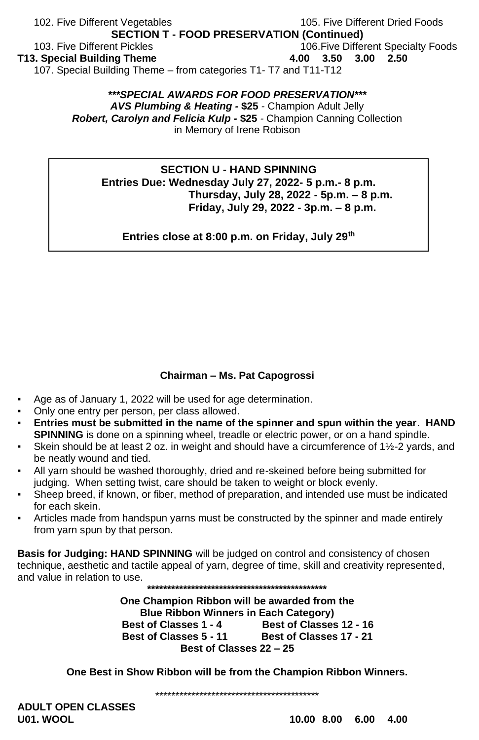### 102. Five Different Vegetables 105. Five Different Dried Foods **SECTION T - FOOD PRESERVATION (Continued)** 103. Five Different Pickles 106.Five Different Specialty Foods **T13. Special Building Theme 4.00 3.50 3.00 2.50** 107. Special Building Theme – from categories T1- T7 and T11-T12

### *\*\*\*SPECIAL AWARDS FOR FOOD PRESERVATION\*\*\* AVS Plumbing & Heating -* **\$25** *-* Champion Adult Jelly *Robert, Carolyn and Felicia Kulp -* **\$25** *-* Champion Canning Collection in Memory of Irene Robison

### **SECTION U - HAND SPINNING Entries Due: Wednesday July 27, 2022- 5 p.m.- 8 p.m. Thursday, July 28, 2022 - 5p.m. – 8 p.m. Friday, July 29, 2022 - 3p.m. – 8 p.m.**

**Entries close at 8:00 p.m. on Friday, July 29th**

### **Chairman – Ms. Pat Capogrossi**

- Age as of January 1, 2022 will be used for age determination.
- Only one entry per person, per class allowed.
- **Entries must be submitted in the name of the spinner and spun within the year**. **HAND SPINNING** is done on a spinning wheel, treadle or electric power, or on a hand spindle.
- Skein should be at least 2 oz. in weight and should have a circumference of  $1\frac{1}{2}$ -2 yards, and be neatly wound and tied.
- All yarn should be washed thoroughly, dried and re-skeined before being submitted for judging. When setting twist, care should be taken to weight or block evenly.
- Sheep breed, if known, or fiber, method of preparation, and intended use must be indicated for each skein.
- Articles made from handspun varns must be constructed by the spinner and made entirely from yarn spun by that person.

**Basis for Judging: HAND SPINNING** will be judged on control and consistency of chosen technique, aesthetic and tactile appeal of yarn, degree of time, skill and creativity represented, and value in relation to use. **\*\*\*\*\*\*\*\*\*\*\*\*\*\*\*\*\*\*\*\*\*\*\*\*\*\*\*\*\*\*\*\*\*\*\*\*\*\*\*\*\*\*\*\*\***

> **One Champion Ribbon will be awarded from the Blue Ribbon Winners in Each Category) Best of Classes 1 - 4 Best of Classes 12 - 16 Best of Classes 5 - 11 Best of Classes 17 - 21 Best of Classes 22 – 25**

**One Best in Show Ribbon will be from the Champion Ribbon Winners.**

\*\*\*\*\*\*\*\*\*\*\*\*\*\*\*\*\*\*\*\*\*\*\*\*\*\*\*\*\*\*\*\*\*\*\*\*\*\*\*\*\*

**ADULT OPEN CLASSES U01. WOOL 10.00 8.00 6.00 4.00**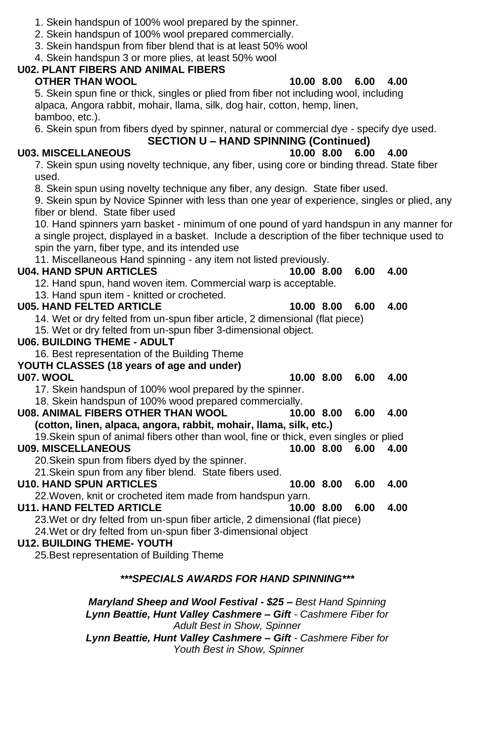- 1. Skein handspun of 100% wool prepared by the spinner.
- 2. Skein handspun of 100% wool prepared commercially.

3. Skein handspun from fiber blend that is at least 50% wool

4. Skein handspun 3 or more plies, at least 50% wool

### **U02. PLANT FIBERS AND ANIMAL FIBERS OTHER THAN WOOL 10.00 8.00 6.00 4.00**

5. Skein spun fine or thick, singles or plied from fiber not including wool, including alpaca, Angora rabbit, mohair, llama, silk, dog hair, cotton, hemp, linen, bamboo, etc.).

6. Skein spun from fibers dyed by spinner, natural or commercial dye - specify dye used.

### **SECTION U – HAND SPINNING (Continued)**

### **U03. MISCELLANEOUS 10.00 8.00 6.00 4.00**

7. Skein spun using novelty technique, any fiber, using core or binding thread. State fiber used.

8. Skein spun using novelty technique any fiber, any design. State fiber used.

9. Skein spun by Novice Spinner with less than one year of experience, singles or plied, any fiber or blend. State fiber used

10. Hand spinners yarn basket - minimum of one pound of yard handspun in any manner for a single project, displayed in a basket. Include a description of the fiber technique used to spin the yarn, fiber type, and its intended use

11. Miscellaneous Hand spinning - any item not listed previously.

### **U04. HAND SPUN ARTICLES 10.00 8.00 6.00 4.00**

12. Hand spun, hand woven item. Commercial warp is acceptable.

13. Hand spun item - knitted or crocheted.

### **U05. HAND FELTED ARTICLE 10.00 8.00 6.00 4.00**

14. Wet or dry felted from un-spun fiber article, 2 dimensional (flat piece)

15. Wet or dry felted from un-spun fiber 3-dimensional object.

### **U06. BUILDING THEME - ADULT**

16. Best representation of the Building Theme

### **YOUTH CLASSES (18 years of age and under)**

**U07. WOOL 10.00 8.00 6.00 4.00**

17. Skein handspun of 100% wool prepared by the spinner.

18. Skein handspun of 100% wood prepared commercially.

# **U08. ANIMAL FIBERS OTHER THAN WOOL 10.00 8.00 6.00 4.00**

**(cotton, linen, alpaca, angora, rabbit, mohair, llama, silk, etc.)**

19.Skein spun of animal fibers other than wool, fine or thick, even singles or plied **U09. MISCELLANEOUS 10.00 8.00 6.00 4.00**

20.Skein spun from fibers dyed by the spinner. 21.Skein spun from any fiber blend. State fibers used.

**U10. HAND SPUN ARTICLES 10.00 8.00 6.00 4.00**

22.Woven, knit or crocheted item made from handspun yarn.

### **U11. HAND FELTED ARTICLE 10.00 8.00 6.00 4.00** 23.Wet or dry felted from un-spun fiber article, 2 dimensional (flat piece)

24.Wet or dry felted from un-spun fiber 3-dimensional object

# **U12. BUILDING THEME- YOUTH**

25.Best representation of Building Theme

# *\*\*\*SPECIALS AWARDS FOR HAND SPINNING\*\*\**

*Maryland Sheep and Wool Festival - \$25 – Best Hand Spinning Lynn Beattie, Hunt Valley Cashmere – Gift - Cashmere Fiber for Adult Best in Show, Spinner Lynn Beattie, Hunt Valley Cashmere – Gift - Cashmere Fiber for Youth Best in Show, Spinner*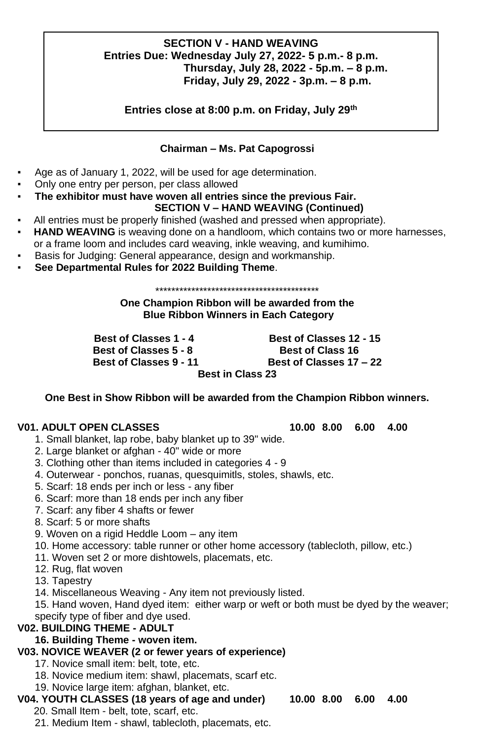### **SECTION V - HAND WEAVING Entries Due: Wednesday July 27, 2022- 5 p.m.- 8 p.m. Thursday, July 28, 2022 - 5p.m. – 8 p.m. Friday, July 29, 2022 - 3p.m. – 8 p.m.**

**Entries close at 8:00 p.m. on Friday, July 29th**

### **Chairman – Ms. Pat Capogrossi**

- Age as of January 1, 2022, will be used for age determination.
- Only one entry per person, per class allowed
- The exhibitor must have woven all entries since the previous Fair.

### **SECTION V – HAND WEAVING (Continued)**

- All entries must be properly finished (washed and pressed when appropriate).
- **HAND WEAVING** is weaving done on a handloom, which contains two or more harnesses,
- or a frame loom and includes card weaving, inkle weaving, and kumihimo.
- Basis for Judging: General appearance, design and workmanship.
- **See Departmental Rules for 2022 Building Theme**.

\*\*\*\*\*\*\*\*\*\*\*\*\*\*\*\*\*\*\*\*\*\*\*\*\*\*\*\*\*\*\*\*\*\*\*\*\*\*\*\*\*

**One Champion Ribbon will be awarded from the Blue Ribbon Winners in Each Category** 

**Best of Classes 1 - 4 Best of Classes 12 - 15**

 **Best of Classes 5 - 8 Best of Class 16 Best of Classes 9 - 11 Best of Classes 17 – 22 Best in Class 23**

**One Best in Show Ribbon will be awarded from the Champion Ribbon winners.**

### **V01. ADULT OPEN CLASSES 10.00 8.00 6.00 4.00**

- 1. Small blanket, lap robe, baby blanket up to 39" wide.
- 2. Large blanket or afghan 40" wide or more
- 3. Clothing other than items included in categories 4 9
- 4. Outerwear ponchos, ruanas, quesquimitls, stoles, shawls, etc.
- 5. Scarf: 18 ends per inch or less any fiber
- 6. Scarf: more than 18 ends per inch any fiber
- 7. Scarf: any fiber 4 shafts or fewer
- 8. Scarf: 5 or more shafts
- 9. Woven on a rigid Heddle Loom any item
- 10. Home accessory: table runner or other home accessory (tablecloth, pillow, etc.)
- 11. Woven set 2 or more dishtowels, placemats, etc.
- 12. Rug, flat woven
- 13. Tapestry
- 14. Miscellaneous Weaving Any item not previously listed.

15. Hand woven, Hand dyed item: either warp or weft or both must be dyed by the weaver; specify type of fiber and dye used.

### **V02. BUILDING THEME - ADULT**

**16. Building Theme - woven item.**

# **V03. NOVICE WEAVER (2 or fewer years of experience)**

- 17. Novice small item: belt, tote, etc.
- 18. Novice medium item: shawl, placemats, scarf etc.
- 19. Novice large item: afghan, blanket, etc.

# **V04. YOUTH CLASSES (18 years of age and under) 10.00 8.00 6.00 4.00**

- 20. Small Item belt, tote, scarf, etc.
- 21. Medium Item shawl, tablecloth, placemats, etc.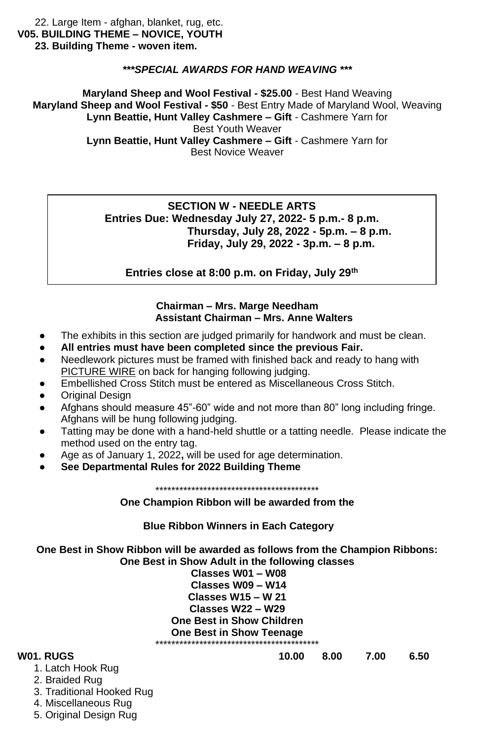22. Large Item - afghan, blanket, rug, etc. **V05. BUILDING THEME – NOVICE, YOUTH 23. Building Theme - woven item.**

### *\*\*\*SPECIAL AWARDS FOR HAND WEAVING \*\*\**

**Maryland Sheep and Wool Festival - \$25.00** *-* Best Hand Weaving **Maryland Sheep and Wool Festival - \$50** *-* Best Entry Made of Maryland Wool, Weaving **Lynn Beattie, Hunt Valley Cashmere – Gift** *-* Cashmere Yarn for Best Youth Weaver **Lynn Beattie, Hunt Valley Cashmere – Gift** *-* Cashmere Yarn for

Best Novice Weaver

### **SECTION W - NEEDLE ARTS Entries Due: Wednesday July 27, 2022- 5 p.m.- 8 p.m. Thursday, July 28, 2022 - 5p.m. – 8 p.m. Friday, July 29, 2022 - 3p.m. – 8 p.m.**

**Entries close at 8:00 p.m. on Friday, July 29th**

### **Chairman – Mrs. Marge Needham Assistant Chairman – Mrs. Anne Walters**

- The exhibits in this section are judged primarily for handwork and must be clean.
- All entries must have been completed since the previous Fair.
- Needlework pictures must be framed with finished back and ready to hang with PICTURE WIRE on back for hanging following judging.
- Embellished Cross Stitch must be entered as Miscellaneous Cross Stitch.
- **Original Design**
- Afghans should measure 45"-60" wide and not more than 80" long including fringe. Afghans will be hung following judging.
- Tatting may be done with a hand-held shuttle or a tatting needle. Please indicate the method used on the entry tag.
- Age as of January 1, 2022, will be used for age determination.
- **See Departmental Rules for 2022 Building Theme**

\*\*\*\*\*\*\*\*\*\*\*\*\*\*\*\*\*\*\*\*\*\*\*\*\*\*\*\*\*\*\*\*\*\*\*\*\*\*\*\*\*

**One Champion Ribbon will be awarded from the**

**Blue Ribbon Winners in Each Category** 

**One Best in Show Ribbon will be awarded as follows from the Champion Ribbons: One Best in Show Adult in the following classes**

**Classes W01 – W08 Classes W09 – W14 Classes W15 – W 21 Classes W22 – W29 One Best in Show Children One Best in Show Teenage** \*\*\*\*\*\*\*\*\*\*\*\*\*\*\*\*\*\*\*\*\*\*\*\*\*\*\*\*\*\*\*\*\*\*\*\*\*\*\*\*\*

- **W01. RUGS 10.00 8.00 7.00 6.50**
	- 1. Latch Hook Rug
	- 2. Braided Rug
	- 3. Traditional Hooked Rug
	- 4. Miscellaneous Rug
	- 5. Original Design Rug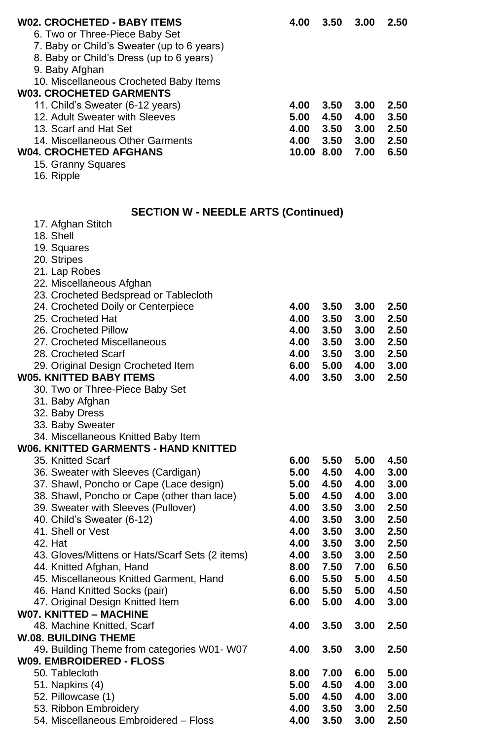| <b>W02. CROCHETED - BABY ITEMS</b>              | 4.00       | 3.50 | 3.00 | 2.50 |
|-------------------------------------------------|------------|------|------|------|
| 6. Two or Three-Piece Baby Set                  |            |      |      |      |
| 7. Baby or Child's Sweater (up to 6 years)      |            |      |      |      |
| 8. Baby or Child's Dress (up to 6 years)        |            |      |      |      |
| 9. Baby Afghan                                  |            |      |      |      |
| 10. Miscellaneous Crocheted Baby Items          |            |      |      |      |
| <b>W03. CROCHETED GARMENTS</b>                  |            |      |      |      |
| 11. Child's Sweater (6-12 years)                | 4.00       | 3.50 | 3.00 | 2.50 |
| 12. Adult Sweater with Sleeves                  | 5.00       | 4.50 | 4.00 | 3.50 |
| 13. Scarf and Hat Set                           | 4.00       | 3.50 | 3.00 | 2.50 |
| 14. Miscellaneous Other Garments                | 4.00       | 3.50 | 3.00 | 2.50 |
| <b>W04. CROCHETED AFGHANS</b>                   | 10.00 8.00 |      | 7.00 | 6.50 |
| 15. Granny Squares                              |            |      |      |      |
| 16. Ripple                                      |            |      |      |      |
|                                                 |            |      |      |      |
| <b>SECTION W - NEEDLE ARTS (Continued)</b>      |            |      |      |      |
| 17. Afghan Stitch                               |            |      |      |      |
| 18. Shell                                       |            |      |      |      |
| 19. Squares                                     |            |      |      |      |
| 20. Stripes                                     |            |      |      |      |
| 21. Lap Robes                                   |            |      |      |      |
| 22. Miscellaneous Afghan                        |            |      |      |      |
| 23. Crocheted Bedspread or Tablecloth           |            |      |      |      |
| 24. Crocheted Doily or Centerpiece              | 4.00       | 3.50 | 3.00 | 2.50 |
| 25. Crocheted Hat                               | 4.00       | 3.50 | 3.00 | 2.50 |
| 26. Crocheted Pillow                            | 4.00       | 3.50 | 3.00 | 2.50 |
| 27. Crocheted Miscellaneous                     | 4.00       | 3.50 | 3.00 | 2.50 |
|                                                 |            |      |      | 2.50 |
| 28. Crocheted Scarf                             | 4.00       | 3.50 | 3.00 |      |
| 29. Original Design Crocheted Item              | 6.00       | 5.00 | 4.00 | 3.00 |
| <b>W05. KNITTED BABY ITEMS</b>                  | 4.00       | 3.50 | 3.00 | 2.50 |
| 30. Two or Three-Piece Baby Set                 |            |      |      |      |
| 31. Baby Afghan                                 |            |      |      |      |
| 32. Baby Dress                                  |            |      |      |      |
| 33. Baby Sweater                                |            |      |      |      |
| 34. Miscellaneous Knitted Baby Item             |            |      |      |      |
| <b>W06. KNITTED GARMENTS - HAND KNITTED</b>     |            |      |      |      |
| 35. Knitted Scarf                               | 6.00       | 5.50 | 5.00 | 4.50 |
| 36. Sweater with Sleeves (Cardigan)             | 5.00       | 4.50 | 4.00 | 3.00 |
| 37. Shawl, Poncho or Cape (Lace design)         | 5.00       | 4.50 | 4.00 | 3.00 |
| 38. Shawl, Poncho or Cape (other than lace)     | 5.00       | 4.50 | 4.00 | 3.00 |
| 39. Sweater with Sleeves (Pullover)             | 4.00       | 3.50 | 3.00 | 2.50 |
| 40. Child's Sweater (6-12)                      | 4.00       | 3.50 | 3.00 | 2.50 |
| 41. Shell or Vest                               | 4.00       | 3.50 | 3.00 | 2.50 |
| 42. Hat                                         | 4.00       | 3.50 | 3.00 | 2.50 |
| 43. Gloves/Mittens or Hats/Scarf Sets (2 items) | 4.00       | 3.50 | 3.00 | 2.50 |
| 44. Knitted Afghan, Hand                        | 8.00       | 7.50 | 7.00 | 6.50 |
| 45. Miscellaneous Knitted Garment, Hand         | 6.00       | 5.50 | 5.00 | 4.50 |
| 46. Hand Knitted Socks (pair)                   | 6.00       | 5.50 | 5.00 | 4.50 |
| 47. Original Design Knitted Item                | 6.00       | 5.00 | 4.00 | 3.00 |
| <b>W07. KNITTED - MACHINE</b>                   |            |      |      |      |
| 48. Machine Knitted, Scarf                      | 4.00       | 3.50 | 3.00 | 2.50 |
| <b>W.08. BUILDING THEME</b>                     |            |      |      |      |
| 49. Building Theme from categories W01- W07     | 4.00       | 3.50 | 3.00 | 2.50 |
| <b>W09. EMBROIDERED - FLOSS</b>                 |            |      |      |      |
| 50. Tablecloth                                  | 8.00       | 7.00 | 6.00 | 5.00 |
| 51. Napkins (4)                                 | 5.00       | 4.50 | 4.00 | 3.00 |
| 52. Pillowcase (1)                              | 5.00       | 4.50 | 4.00 | 3.00 |
| 53. Ribbon Embroidery                           | 4.00       | 3.50 | 3.00 | 2.50 |
| 54. Miscellaneous Embroidered - Floss           | 4.00       | 3.50 | 3.00 | 2.50 |
|                                                 |            |      |      |      |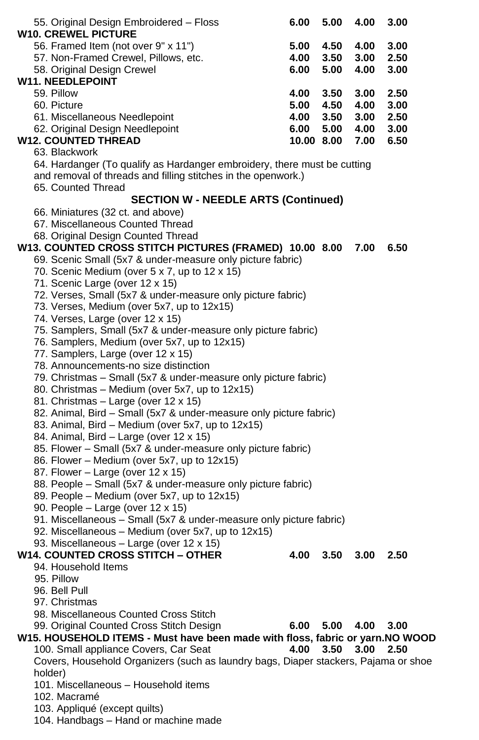| 55. Original Design Embroidered - Floss                                                                   | 6.00      | 5.00       | 4.00             | 3.00 |
|-----------------------------------------------------------------------------------------------------------|-----------|------------|------------------|------|
| <b>W10. CREWEL PICTURE</b>                                                                                |           |            |                  |      |
| 56. Framed Item (not over 9" x 11")                                                                       | 5.00      | 4.50 4.00  |                  | 3.00 |
| 57. Non-Framed Crewel, Pillows, etc.                                                                      |           | 4.00 3.50  | 3.00             | 2.50 |
| 58. Original Design Crewel<br><b>W11. NEEDLEPOINT</b>                                                     | 6.00      | 5.00       | 4.00             | 3.00 |
| 59. Pillow                                                                                                | 4.00      | 3.50       | 3.00             | 2.50 |
| 60. Picture                                                                                               | 5.00 4.50 |            | 4.00             | 3.00 |
| 61. Miscellaneous Needlepoint                                                                             | 4.00 3.50 |            | 3.00             | 2.50 |
| 62. Original Design Needlepoint                                                                           |           |            | 6.00 5.00 4.00   | 3.00 |
| <b>W12. COUNTED THREAD</b>                                                                                |           | 10.00 8.00 | 7.00             | 6.50 |
| 63. Blackwork                                                                                             |           |            |                  |      |
| 64. Hardanger (To qualify as Hardanger embroidery, there must be cutting                                  |           |            |                  |      |
| and removal of threads and filling stitches in the openwork.)                                             |           |            |                  |      |
| 65. Counted Thread                                                                                        |           |            |                  |      |
| <b>SECTION W - NEEDLE ARTS (Continued)</b>                                                                |           |            |                  |      |
| 66. Miniatures (32 ct. and above)                                                                         |           |            |                  |      |
| 67. Miscellaneous Counted Thread                                                                          |           |            |                  |      |
| 68. Original Design Counted Thread                                                                        |           |            |                  |      |
| W13. COUNTED CROSS STITCH PICTURES (FRAMED) 10.00 8.00 7.00                                               |           |            |                  | 6.50 |
| 69. Scenic Small (5x7 & under-measure only picture fabric)                                                |           |            |                  |      |
| 70. Scenic Medium (over 5 x 7, up to 12 x 15)                                                             |           |            |                  |      |
| 71. Scenic Large (over 12 x 15)                                                                           |           |            |                  |      |
| 72. Verses, Small (5x7 & under-measure only picture fabric)<br>73. Verses, Medium (over 5x7, up to 12x15) |           |            |                  |      |
| 74. Verses, Large (over 12 x 15)                                                                          |           |            |                  |      |
| 75. Samplers, Small (5x7 & under-measure only picture fabric)                                             |           |            |                  |      |
| 76. Samplers, Medium (over 5x7, up to 12x15)                                                              |           |            |                  |      |
| 77. Samplers, Large (over 12 x 15)                                                                        |           |            |                  |      |
| 78. Announcements-no size distinction                                                                     |           |            |                  |      |
| 79. Christmas - Small (5x7 & under-measure only picture fabric)                                           |           |            |                  |      |
| 80. Christmas - Medium (over 5x7, up to 12x15)                                                            |           |            |                  |      |
| 81. Christmas - Large (over 12 x 15)                                                                      |           |            |                  |      |
| 82. Animal, Bird - Small (5x7 & under-measure only picture fabric)                                        |           |            |                  |      |
| 83. Animal, Bird - Medium (over 5x7, up to 12x15)                                                         |           |            |                  |      |
| 84. Animal, Bird - Large (over 12 x 15)                                                                   |           |            |                  |      |
| 85. Flower - Small (5x7 & under-measure only picture fabric)                                              |           |            |                  |      |
| 86. Flower – Medium (over 5x7, up to 12x15)                                                               |           |            |                  |      |
| 87. Flower - Large (over 12 x 15)                                                                         |           |            |                  |      |
| 88. People - Small (5x7 & under-measure only picture fabric)                                              |           |            |                  |      |
| 89. People – Medium (over 5x7, up to 12x15)<br>90. People - Large (over 12 x 15)                          |           |            |                  |      |
| 91. Miscellaneous - Small (5x7 & under-measure only picture fabric)                                       |           |            |                  |      |
| 92. Miscellaneous - Medium (over 5x7, up to 12x15)                                                        |           |            |                  |      |
| 93. Miscellaneous - Large (over 12 x 15)                                                                  |           |            |                  |      |
| W14. COUNTED CROSS STITCH – OTHER                                                                         | 4.00      |            | $3.50\quad 3.00$ | 2.50 |
| 94. Household Items                                                                                       |           |            |                  |      |
| 95. Pillow                                                                                                |           |            |                  |      |
| 96. Bell Pull                                                                                             |           |            |                  |      |
| 97. Christmas                                                                                             |           |            |                  |      |
| 98. Miscellaneous Counted Cross Stitch                                                                    |           |            |                  |      |
| 99. Original Counted Cross Stitch Design                                                                  | 6.00      | 5.00       | 4.00             | 3.00 |
| W15. HOUSEHOLD ITEMS - Must have been made with floss, fabric or yarn. NO WOOD                            |           |            |                  |      |
| 100. Small appliance Covers, Car Seat                                                                     | 4.00      | 3.50       | 3.00             | 2.50 |
| Covers, Household Organizers (such as laundry bags, Diaper stackers, Pajama or shoe                       |           |            |                  |      |
| holder)                                                                                                   |           |            |                  |      |
| 101. Miscellaneous - Household items<br>102. Macramé                                                      |           |            |                  |      |
|                                                                                                           |           |            |                  |      |
| 103. Appliqué (except quilts)<br>104. Handbags - Hand or machine made                                     |           |            |                  |      |
|                                                                                                           |           |            |                  |      |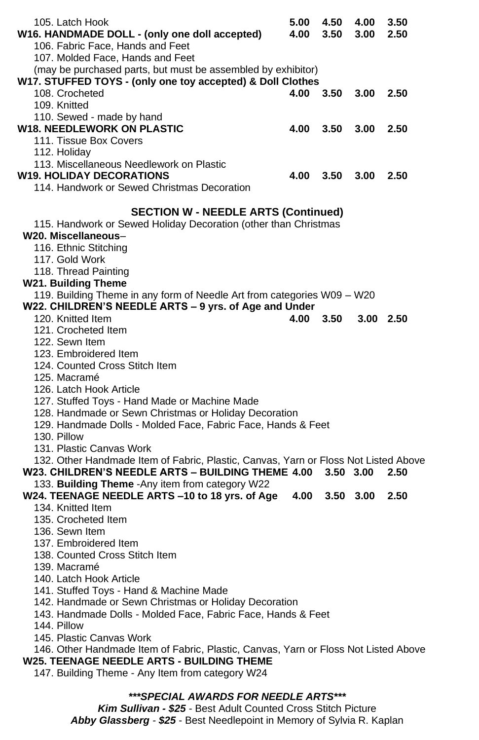| 105. Latch Hook                                                                                                                          | 5.00 | 4.50             | 4.00          | 3.50        |
|------------------------------------------------------------------------------------------------------------------------------------------|------|------------------|---------------|-------------|
| W16. HANDMADE DOLL - (only one doll accepted)<br>106. Fabric Face, Hands and Feet                                                        | 4.00 | 3.50             | 3.00          | 2.50        |
| 107. Molded Face, Hands and Feet                                                                                                         |      |                  |               |             |
| (may be purchased parts, but must be assembled by exhibitor)                                                                             |      |                  |               |             |
| W17. STUFFED TOYS - (only one toy accepted) & Doll Clothes                                                                               |      |                  |               |             |
| 108. Crocheted                                                                                                                           | 4.00 | 3.50             | 3.00          | 2.50        |
| 109. Knitted                                                                                                                             |      |                  |               |             |
| 110. Sewed - made by hand                                                                                                                |      |                  |               |             |
| <b>W18. NEEDLEWORK ON PLASTIC</b>                                                                                                        | 4.00 | $3.50\quad 3.00$ |               | 2.50        |
| 111. Tissue Box Covers                                                                                                                   |      |                  |               |             |
| 112. Holiday                                                                                                                             |      |                  |               |             |
| 113. Miscellaneous Needlework on Plastic                                                                                                 |      |                  |               |             |
| <b>W19. HOLIDAY DECORATIONS</b>                                                                                                          | 4.00 | $3.50$ $3.00$    |               | 2.50        |
| 114. Handwork or Sewed Christmas Decoration                                                                                              |      |                  |               |             |
|                                                                                                                                          |      |                  |               |             |
| <b>SECTION W - NEEDLE ARTS (Continued)</b><br>115. Handwork or Sewed Holiday Decoration (other than Christmas                            |      |                  |               |             |
| W20. Miscellaneous-                                                                                                                      |      |                  |               |             |
| 116. Ethnic Stitching                                                                                                                    |      |                  |               |             |
| 117. Gold Work                                                                                                                           |      |                  |               |             |
| 118. Thread Painting                                                                                                                     |      |                  |               |             |
| W21. Building Theme                                                                                                                      |      |                  |               |             |
| 119. Building Theme in any form of Needle Art from categories W09 - W20                                                                  |      |                  |               |             |
| W22. CHILDREN'S NEEDLE ARTS - 9 yrs. of Age and Under                                                                                    |      |                  |               |             |
| 120. Knitted Item                                                                                                                        | 4.00 | 3.50             |               | $3.00$ 2.50 |
| 121. Crocheted Item                                                                                                                      |      |                  |               |             |
| 122. Sewn Item                                                                                                                           |      |                  |               |             |
| 123. Embroidered Item                                                                                                                    |      |                  |               |             |
| 124. Counted Cross Stitch Item                                                                                                           |      |                  |               |             |
| 125. Macramé                                                                                                                             |      |                  |               |             |
| 126. Latch Hook Article                                                                                                                  |      |                  |               |             |
| 127. Stuffed Toys - Hand Made or Machine Made                                                                                            |      |                  |               |             |
| 128. Handmade or Sewn Christmas or Holiday Decoration                                                                                    |      |                  |               |             |
| 129. Handmade Dolls - Molded Face, Fabric Face, Hands & Feet                                                                             |      |                  |               |             |
| 130. Pillow                                                                                                                              |      |                  |               |             |
| 131. Plastic Canvas Work                                                                                                                 |      |                  |               |             |
| 132. Other Handmade Item of Fabric, Plastic, Canvas, Yarn or Floss Not Listed Above<br>W23. CHILDREN'S NEEDLE ARTS - BUILDING THEME 4.00 |      | 3.50 3.00        |               | 2.50        |
| 133. Building Theme - Any item from category W22                                                                                         |      |                  |               |             |
| W24. TEENAGE NEEDLE ARTS -10 to 18 yrs. of Age                                                                                           | 4.00 |                  | $3.50$ $3.00$ | 2.50        |
| 134. Knitted Item                                                                                                                        |      |                  |               |             |
| 135. Crocheted Item                                                                                                                      |      |                  |               |             |
| 136. Sewn Item                                                                                                                           |      |                  |               |             |
| 137. Embroidered Item                                                                                                                    |      |                  |               |             |
| 138. Counted Cross Stitch Item                                                                                                           |      |                  |               |             |
| 139. Macramé                                                                                                                             |      |                  |               |             |
| 140. Latch Hook Article                                                                                                                  |      |                  |               |             |
| 141. Stuffed Toys - Hand & Machine Made                                                                                                  |      |                  |               |             |
| 142. Handmade or Sewn Christmas or Holiday Decoration                                                                                    |      |                  |               |             |
| 143. Handmade Dolls - Molded Face, Fabric Face, Hands & Feet                                                                             |      |                  |               |             |
| 144. Pillow                                                                                                                              |      |                  |               |             |
| 145. Plastic Canvas Work                                                                                                                 |      |                  |               |             |
| 146. Other Handmade Item of Fabric, Plastic, Canvas, Yarn or Floss Not Listed Above                                                      |      |                  |               |             |
| <b>W25. TEENAGE NEEDLE ARTS - BUILDING THEME</b>                                                                                         |      |                  |               |             |
| 147. Building Theme - Any Item from category W24                                                                                         |      |                  |               |             |
|                                                                                                                                          |      |                  |               |             |

# *\*\*\*SPECIAL AWARDS FOR NEEDLE ARTS\*\*\**

*Kim Sullivan - \$25* - Best Adult Counted Cross Stitch Picture *Abby Glassberg - \$25* - Best Needlepoint in Memory of Sylvia R. Kaplan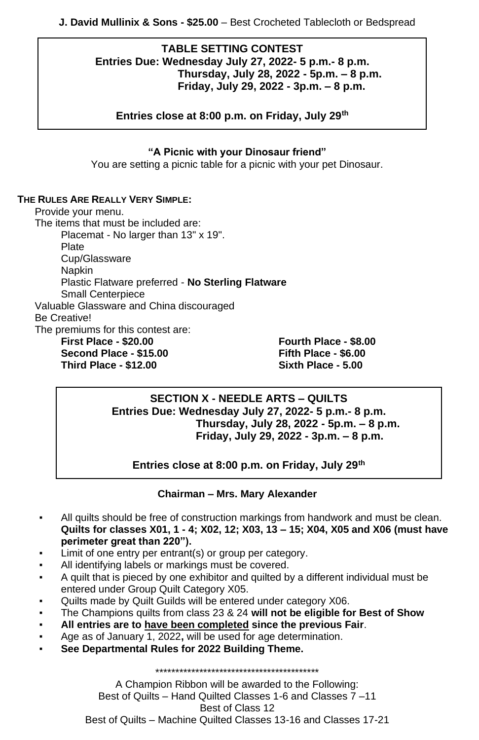### **TABLE SETTING CONTEST Entries Due: Wednesday July 27, 2022- 5 p.m.- 8 p.m. Thursday, July 28, 2022 - 5p.m. – 8 p.m. Friday, July 29, 2022 - 3p.m. – 8 p.m.**

**Entries close at 8:00 p.m. on Friday, July 29th**

### **"A Picnic with your Dinosaur friend"**

You are setting a picnic table for a picnic with your pet Dinosaur.

### **THE RULES ARE REALLY VERY SIMPLE:**

Provide your menu. The items that must be included are: Placemat - No larger than 13" x 19". Plate Cup/Glassware Napkin Plastic Flatware preferred - **No Sterling Flatware** Small Centerpiece Valuable Glassware and China discouraged Be Creative! The premiums for this contest are: **First Place - \$20.00 Fourth Place - \$8.00 Second Place - \$15.00 Fifth Place - \$6.00**

**Third Place - \$12.00 Sixth Place - 5.00**

### **SECTION X - NEEDLE ARTS – QUILTS Entries Due: Wednesday July 27, 2022- 5 p.m.- 8 p.m. Thursday, July 28, 2022 - 5p.m. – 8 p.m. Friday, July 29, 2022 - 3p.m. – 8 p.m.**

**Entries close at 8:00 p.m. on Friday, July 29th**

### **Chairman – Mrs. Mary Alexander**

- All quilts should be free of construction markings from handwork and must be clean. **Quilts for classes X01, 1 - 4; X02, 12; X03, 13 – 15; X04, X05 and X06 (must have perimeter great than 220").**
- Limit of one entry per entrant(s) or group per category.
- All identifying labels or markings must be covered.
- A quilt that is pieced by one exhibitor and quilted by a different individual must be entered under Group Quilt Category X05.
- Quilts made by Quilt Guilds will be entered under category X06.
- The Champions quilts from class 23 & 24 **will not be eligible for Best of Show**
- **All entries are to have been completed since the previous Fair**.
- Age as of January 1, 2022**,** will be used for age determination.
- See Departmental Rules for 2022 Building Theme.

A Champion Ribbon will be awarded to the Following: Best of Quilts – Hand Quilted Classes 1-6 and Classes 7 –11 Best of Class 12 Best of Quilts – Machine Quilted Classes 13-16 and Classes 17-21

\*\*\*\*\*\*\*\*\*\*\*\*\*\*\*\*\*\*\*\*\*\*\*\*\*\*\*\*\*\*\*\*\*\*\*\*\*\*\*\*\*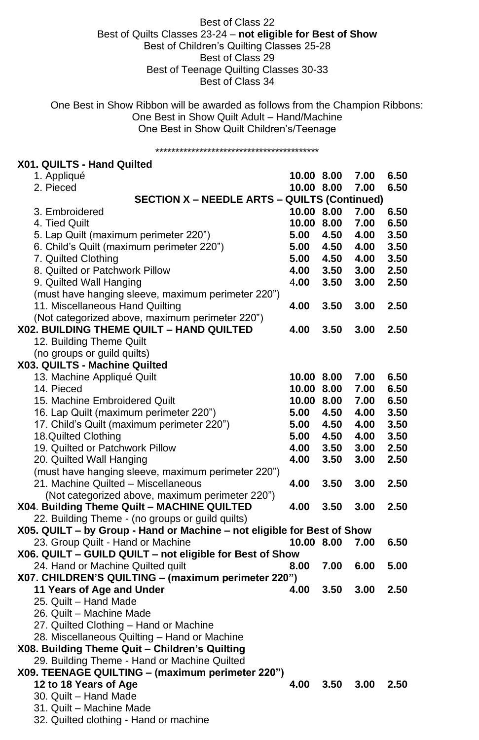### Best of Class 22 Best of Quilts Classes 23-24 – **not eligible for Best of Show** Best of Children's Quilting Classes 25-28 Best of Class 29 Best of Teenage Quilting Classes 30-33 Best of Class 34

One Best in Show Ribbon will be awarded as follows from the Champion Ribbons: One Best in Show Quilt Adult – Hand/Machine One Best in Show Quilt Children's/Teenage

### \*\*\*\*\*\*\*\*\*\*\*\*\*\*\*\*\*\*\*\*\*\*\*\*\*\*\*\*\*\*\*\*\*\*\*\*\*\*\*\*\* **X01. QUILTS - Hand Quilted** 1. Appliqué **10.00 8.00 7.00 6.50** 2. Pieced **10.00 8.00 7.00 6.50 SECTION X – NEEDLE ARTS – QUILTS (Continued)** 3. Embroidered **10.00 8.00 7.00 6.50** 4. Tied Quilt **10.00 8.00 7.00 6.50** 5. Lap Quilt (maximum perimeter 220") **5.00 4.50 4.00 3.50** 6. Child's Quilt (maximum perimeter 220") **5.00 4.50 4.00 3.50** 7. Quilted Clothing **5.00 4.50 4.00 3.50** 8. Quilted or Patchwork Pillow **4.00 3.50 3.00 2.50** 9. Quilted Wall Hanging 4**.00 3.50 3.00 2.50** (must have hanging sleeve, maximum perimeter 220") 11. Miscellaneous Hand Quilting **4.00 3.50 3.00 2.50** (Not categorized above, maximum perimeter 220") **X02. BUILDING THEME QUILT – HAND QUILTED 4.00 3.50 3.00 2.50** 12. Building Theme Quilt (no groups or guild quilts) **X03. QUILTS - Machine Quilted**  13. Machine Appliqué Quilt **10.00 8.00 7.00 6.50** 14. Pieced **10.00 8.00 7.00 6.50** 15. Machine Embroidered Quilt **10.00 8.00 7.00 6.50** 16. Lap Quilt (maximum perimeter 220") **5.00 4.50 4.00 3.50** 17. Child's Quilt (maximum perimeter 220") **5.00 4.50 4.00 3.50** 18.Quilted Clothing **5.00 4.50 4.00 3.50** 19. Quilted or Patchwork Pillow **4.00 3.50 3.00 2.50** 20. Quilted Wall Hanging **4.00 3.50 3.00 2.50** (must have hanging sleeve, maximum perimeter 220") 21. Machine Quilted – Miscellaneous **4.00 3.50 3.00 2.50** (Not categorized above, maximum perimeter 220") **X04**. **Building Theme Quilt – MACHINE QUILTED 4.00 3.50 3.00 2.50** 22. Building Theme - (no groups or guild quilts) **X05. QUILT – by Group - Hand or Machine – not eligible for Best of Show** 23. Group Quilt - Hand or Machine **10.00 8.00 7.00 6.50 X06. QUILT – GUILD QUILT – not eligible for Best of Show** 24. Hand or Machine Quilted quilt **8.00 7.00 6.00 5.00 X07. CHILDREN'S QUILTING – (maximum perimeter 220") 11 Years of Age and Under 4.00 3.50 3.00 2.50** 25. Quilt – Hand Made 26. Quilt – Machine Made 27. Quilted Clothing – Hand or Machine 28. Miscellaneous Quilting – Hand or Machine **X08. Building Theme Quit – Children's Quilting** 29. Building Theme - Hand or Machine Quilted **X09. TEENAGE QUILTING – (maximum perimeter 220") 12 to 18 Years of Age 4.00 3.50 3.00 2.50**

30. Quilt – Hand Made

31. Quilt – Machine Made

32. Quilted clothing - Hand or machine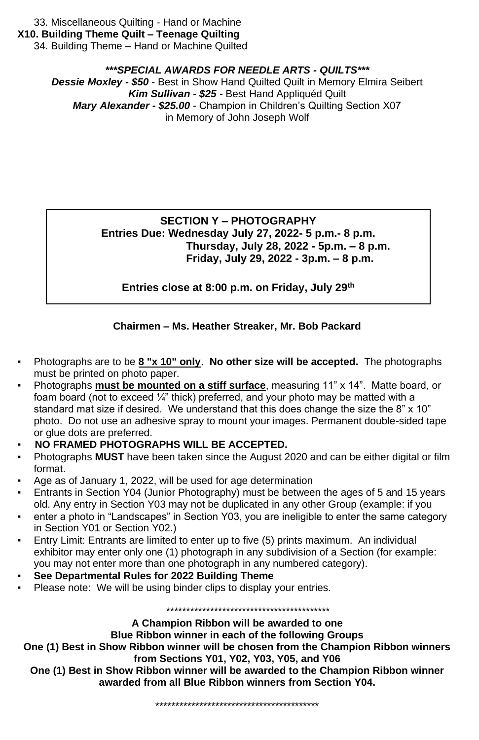33. Miscellaneous Quilting - Hand or Machine

**X10. Building Theme Quilt – Teenage Quilting**

34. Building Theme – Hand or Machine Quilted

### *\*\*\*SPECIAL AWARDS FOR NEEDLE ARTS - QUILTS\*\*\**

*Dessie Moxley - \$50* - Best in Show Hand Quilted Quilt in Memory Elmira Seibert *Kim Sullivan - \$25 -* Best Hand Appliquéd Quilt *Mary Alexander - \$25.00* - Champion in Children's Quilting Section X07 in Memory of John Joseph Wolf

### **SECTION Y – PHOTOGRAPHY Entries Due: Wednesday July 27, 2022- 5 p.m.- 8 p.m. Thursday, July 28, 2022 - 5p.m. – 8 p.m. Friday, July 29, 2022 - 3p.m. – 8 p.m.**

**Entries close at 8:00 p.m. on Friday, July 29th**

### **Chairmen – Ms. Heather Streaker, Mr. Bob Packard**

- Photographs are to be **8 "x 10" only**. **No other size will be accepted.** The photographs must be printed on photo paper.
- Photographs **must be mounted on a stiff surface**, measuring 11" x 14". Matte board, or foam board (not to exceed  $\frac{1}{4}$ " thick) preferred, and your photo may be matted with a standard mat size if desired. We understand that this does change the size the 8" x 10" photo. Do not use an adhesive spray to mount your images. Permanent double-sided tape or glue dots are preferred.
- **NO FRAMED PHOTOGRAPHS WILL BE ACCEPTED.**
- **Photographs MUST** have been taken since the August 2020 and can be either digital or film format.
- Age as of January 1, 2022, will be used for age determination
- Entrants in Section Y04 (Junior Photography) must be between the ages of 5 and 15 years old. Any entry in Section Y03 may not be duplicated in any other Group (example: if you
- enter a photo in "Landscapes" in Section Y03, you are ineligible to enter the same category in Section Y01 or Section Y02.)
- Entry Limit: Entrants are limited to enter up to five (5) prints maximum. An individual exhibitor may enter only one (1) photograph in any subdivision of a Section (for example: you may not enter more than one photograph in any numbered category).
- **See Departmental Rules for 2022 Building Theme**
- Please note: We will be using binder clips to display your entries.

\*\*\*\*\*\*\*\*\*\*\*\*\*\*\*\*\*\*\*\*\*\*\*\*\*\*\*\*\*\*\*\*\*\*\*\*\*\*\*\*\*

### **A Champion Ribbon will be awarded to one**

### **Blue Ribbon winner in each of the following Groups**

**One (1) Best in Show Ribbon winner will be chosen from the Champion Ribbon winners from Sections Y01, Y02, Y03, Y05, and Y06**

**One (1) Best in Show Ribbon winner will be awarded to the Champion Ribbon winner awarded from all Blue Ribbon winners from Section Y04.**

\*\*\*\*\*\*\*\*\*\*\*\*\*\*\*\*\*\*\*\*\*\*\*\*\*\*\*\*\*\*\*\*\*\*\*\*\*\*\*\*\*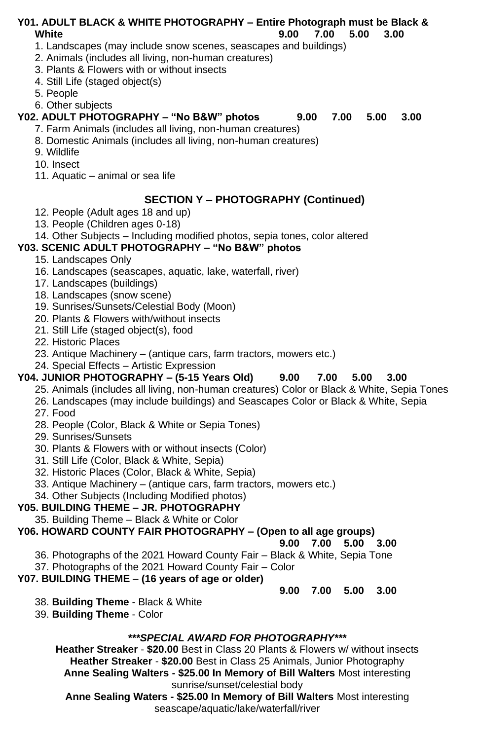### **Y01. ADULT BLACK & WHITE PHOTOGRAPHY – Entire Photograph must be Black & White 9.00 7.00 5.00 3.00**

1. Landscapes (may include snow scenes, seascapes and buildings)

2. Animals (includes all living, non-human creatures)

3. Plants & Flowers with or without insects

4. Still Life (staged object(s)

5. People

6. Other subjects

### **Y02. ADULT PHOTOGRAPHY – "No B&W" photos 9.00 7.00 5.00 3.00**

- 7. Farm Animals (includes all living, non-human creatures)
- 8. Domestic Animals (includes all living, non-human creatures)
- 9. Wildlife
- 10. Insect
- 11. Aquatic animal or sea life

### **SECTION Y – PHOTOGRAPHY (Continued)**

- 12. People (Adult ages 18 and up)
- 13. People (Children ages 0-18)

### 14. Other Subjects – Including modified photos, sepia tones, color altered

### **Y03. SCENIC ADULT PHOTOGRAPHY – "No B&W" photos**

- 15. Landscapes Only
- 16. Landscapes (seascapes, aquatic, lake, waterfall, river)
- 17. Landscapes (buildings)
- 18. Landscapes (snow scene)
- 19. Sunrises/Sunsets/Celestial Body (Moon)
- 20. Plants & Flowers with/without insects
- 21. Still Life (staged object(s), food
- 22. Historic Places
- 23. Antique Machinery (antique cars, farm tractors, mowers etc.)
- 24. Special Effects Artistic Expression

### **Y04. JUNIOR PHOTOGRAPHY – (5-15 Years Old) 9.00 7.00 5.00 3.00**

- 25. Animals (includes all living, non-human creatures) Color or Black & White, Sepia Tones
- 26. Landscapes (may include buildings) and Seascapes Color or Black & White, Sepia 27. Food
- 28. People (Color, Black & White or Sepia Tones)
- 29. Sunrises/Sunsets
- 30. Plants & Flowers with or without insects (Color)
- 31. Still Life (Color, Black & White, Sepia)
- 32. Historic Places (Color, Black & White, Sepia)
- 33. Antique Machinery (antique cars, farm tractors, mowers etc.)
- 34. Other Subjects (Including Modified photos)

### **Y05. BUILDING THEME – JR. PHOTOGRAPHY**

35. Building Theme – Black & White or Color

**Y06. HOWARD COUNTY FAIR PHOTOGRAPHY – (Open to all age groups)**

### **9.00 7.00 5.00 3.00**

- 36. Photographs of the 2021 Howard County Fair Black & White, Sepia Tone
- 37. Photographs of the 2021 Howard County Fair Color

# **Y07. BUILDING THEME** – **(16 years of age or older)**

# **9.00 7.00 5.00 3.00**

- 38. **Building Theme** Black & White
- 39. **Building Theme** Color

# *\*\*\*SPECIAL AWARD FOR PHOTOGRAPHY\*\*\**

**Heather Streaker** - **\$20.00** Best in Class 20 Plants & Flowers w/ without insects **Heather Streaker** - **\$20.00** Best in Class 25 Animals, Junior Photography **Anne Sealing Walters - \$25.00 In Memory of Bill Walters** Most interesting sunrise/sunset/celestial body

**Anne Sealing Waters - \$25.00 In Memory of Bill Walters** Most interesting seascape/aquatic/lake/waterfall/river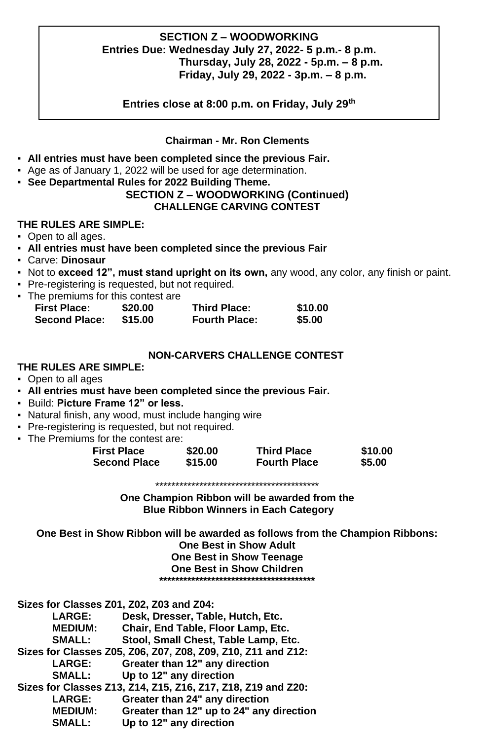### **SECTION Z – WOODWORKING Entries Due: Wednesday July 27, 2022- 5 p.m.- 8 p.m. Thursday, July 28, 2022 - 5p.m. – 8 p.m. Friday, July 29, 2022 - 3p.m. – 8 p.m.**

**Entries close at 8:00 p.m. on Friday, July 29th**

### **Chairman - Mr. Ron Clements**

- **All entries must have been completed since the previous Fair.**
- Age as of January 1, 2022 will be used for age determination.
- **See Departmental Rules for 2022 Building Theme.**

### **SECTION Z – WOODWORKING (Continued) CHALLENGE CARVING CONTEST**

### **THE RULES ARE SIMPLE:**

- Open to all ages.
- **All entries must have been completed since the previous Fair**
- Carve: **Dinosaur**
- Not to **exceed 12", must stand upright on its own,** any wood, any color, any finish or paint.
- Pre-registering is requested, but not required.
- The premiums for this contest are

| <b>First Place:</b>  | \$20.00 | <b>Third Place:</b>  | \$10.00 |
|----------------------|---------|----------------------|---------|
| <b>Second Place:</b> | \$15.00 | <b>Fourth Place:</b> | \$5.00  |

### **NON-CARVERS CHALLENGE CONTEST**

- **THE RULES ARE SIMPLE:**
- Open to all ages
- **All entries must have been completed since the previous Fair.**
- Build: **Picture Frame 12" or less.**
- Natural finish, any wood, must include hanging wire
- Pre-registering is requested, but not required.
- The Premiums for the contest are:

| <b>First Place</b>  | \$20.00 | <b>Third Place</b>  | \$10.00 |
|---------------------|---------|---------------------|---------|
| <b>Second Place</b> | \$15.00 | <b>Fourth Place</b> | \$5.00  |

\*\*\*\*\*\*\*\*\*\*\*\*\*\*\*\*\*\*\*\*\*\*\*\*\*\*\*\*\*\*\*\*\*\*\*\*\*\*\*\*\*

**One Champion Ribbon will be awarded from the Blue Ribbon Winners in Each Category**

**One Best in Show Ribbon will be awarded as follows from the Champion Ribbons: One Best in Show Adult**

**One Best in Show Teenage**

**One Best in Show Children**

**\*\*\*\*\*\*\*\*\*\*\*\*\*\*\*\*\*\*\*\*\*\*\*\*\*\*\*\*\*\*\*\*\*\*\*\*\*\*\***

| Sizes for Classes Z01, Z02, Z03 and Z04: |                                                              |
|------------------------------------------|--------------------------------------------------------------|
| LARGE:                                   | Desk, Dresser, Table, Hutch, Etc.                            |
| <b>MEDIUM:</b>                           | Chair, End Table, Floor Lamp, Etc.                           |
| SMALL:                                   | Stool, Small Chest, Table Lamp, Etc.                         |
|                                          | Sizes for Classes Z05, Z06, Z07, Z08, Z09, Z10, Z11 and Z12: |
| LARGE:                                   | Greater than 12" any direction                               |
| <b>SMALL:</b>                            | Up to 12" any direction                                      |
|                                          | Sizes for Classes Z13, Z14, Z15, Z16, Z17, Z18, Z19 and Z20: |
| LARGE:                                   | Greater than 24" any direction                               |
| <b>MEDIUM:</b>                           | Greater than 12" up to 24" any direction                     |
| SMALL:                                   | Up to 12" any direction                                      |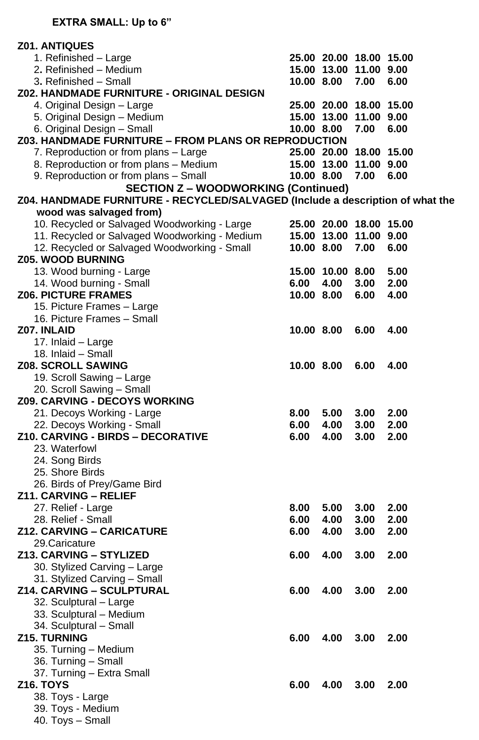| <b>Z01. ANTIQUES</b>                                                           |            |                  |                         |      |
|--------------------------------------------------------------------------------|------------|------------------|-------------------------|------|
| 1. Refinished - Large                                                          |            |                  | 25.00 20.00 18.00 15.00 |      |
| 2. Refinished – Medium                                                         |            |                  | 15.00 13.00 11.00 9.00  |      |
| 3. Refinished - Small                                                          |            | 10.00 8.00       | 7.00                    | 6.00 |
| Z02. HANDMADE FURNITURE - ORIGINAL DESIGN                                      |            |                  |                         |      |
| 4. Original Design - Large                                                     |            |                  | 25.00 20.00 18.00 15.00 |      |
| 5. Original Design - Medium                                                    |            |                  | 15.00 13.00 11.00 9.00  |      |
| 6. Original Design - Small                                                     |            | 10.00 8.00       | 7.00                    | 6.00 |
| Z03. HANDMADE FURNITURE - FROM PLANS OR REPRODUCTION                           |            |                  |                         |      |
| 7. Reproduction or from plans - Large                                          |            |                  | 25.00 20.00 18.00 15.00 |      |
| 8. Reproduction or from plans - Medium                                         |            |                  | 15.00 13.00 11.00 9.00  |      |
| 9. Reproduction or from plans - Small                                          | 10.00 8.00 |                  | 7.00                    | 6.00 |
| <b>SECTION Z - WOODWORKING (Continued)</b>                                     |            |                  |                         |      |
| Z04. HANDMADE FURNITURE - RECYCLED/SALVAGED (Include a description of what the |            |                  |                         |      |
| wood was salvaged from)                                                        |            |                  |                         |      |
| 10. Recycled or Salvaged Woodworking - Large                                   |            |                  | 25.00 20.00 18.00 15.00 |      |
| 11. Recycled or Salvaged Woodworking - Medium                                  |            |                  | 15.00 13.00 11.00 9.00  |      |
| 12. Recycled or Salvaged Woodworking - Small                                   | 10.00 8.00 |                  | 7.00                    | 6.00 |
| <b>Z05. WOOD BURNING</b>                                                       |            |                  |                         |      |
| 13. Wood burning - Large                                                       |            | 15.00 10.00 8.00 |                         | 5.00 |
| 14. Wood burning - Small                                                       |            | 6.00 4.00        | 3.00                    | 2.00 |
| <b>Z06. PICTURE FRAMES</b>                                                     |            | 10.00 8.00       | 6.00                    | 4.00 |
| 15. Picture Frames - Large                                                     |            |                  |                         |      |
| 16. Picture Frames - Small                                                     |            |                  |                         |      |
| <b>Z07. INLAID</b>                                                             | 10.00 8.00 |                  | 6.00                    | 4.00 |
| 17. Inlaid - Large                                                             |            |                  |                         |      |
| 18. Inlaid - Small                                                             |            |                  |                         |      |
| <b>Z08. SCROLL SAWING</b>                                                      | 10.00 8.00 |                  | 6.00                    | 4.00 |
| 19. Scroll Sawing - Large                                                      |            |                  |                         |      |
| 20. Scroll Sawing - Small                                                      |            |                  |                         |      |
| <b>Z09. CARVING - DECOYS WORKING</b>                                           |            |                  |                         |      |
| 21. Decoys Working - Large                                                     | 8.00       | 5.00             | 3.00                    | 2.00 |
| 22. Decoys Working - Small                                                     | 6.00       | 4.00             | 3.00                    | 2.00 |
| Z10. CARVING - BIRDS - DECORATIVE                                              | 6.00       | 4.00             | 3.00                    | 2.00 |
| 23. Waterfowl                                                                  |            |                  |                         |      |
| 24. Song Birds                                                                 |            |                  |                         |      |
| 25. Shore Birds                                                                |            |                  |                         |      |
| 26. Birds of Prey/Game Bird                                                    |            |                  |                         |      |
| Z11. CARVING - RELIEF                                                          |            |                  |                         |      |
| 27. Relief - Large                                                             | 8.00       | 5.00             | 3.00                    | 2.00 |
| 28. Relief - Small                                                             | 6.00       | 4.00             | 3.00                    | 2.00 |
| Z12. CARVING – CARICATURE                                                      | 6.00       | 4.00             | 3.00                    | 2.00 |
| 29.Caricature                                                                  |            |                  |                         |      |
| Z13. CARVING - STYLIZED                                                        | 6.00       | 4.00             | 3.00                    | 2.00 |
| 30. Stylized Carving - Large                                                   |            |                  |                         |      |
| 31. Stylized Carving - Small                                                   |            |                  |                         |      |
| Z14. CARVING - SCULPTURAL                                                      | 6.00       | 4.00             | 3.00                    | 2.00 |
| 32. Sculptural - Large                                                         |            |                  |                         |      |
| 33. Sculptural - Medium                                                        |            |                  |                         |      |
| 34. Sculptural - Small                                                         |            |                  |                         |      |
| <b>Z15. TURNING</b>                                                            | 6.00       | 4.00             | 3.00                    | 2.00 |
| 35. Turning - Medium                                                           |            |                  |                         |      |
| 36. Turning - Small                                                            |            |                  |                         |      |
| 37. Turning - Extra Small                                                      |            |                  |                         |      |
| <b>Z16. TOYS</b>                                                               | 6.00       | 4.00             | 3.00                    | 2.00 |
| 38. Toys - Large                                                               |            |                  |                         |      |
| 39. Toys - Medium                                                              |            |                  |                         |      |
| 40. Toys - Small                                                               |            |                  |                         |      |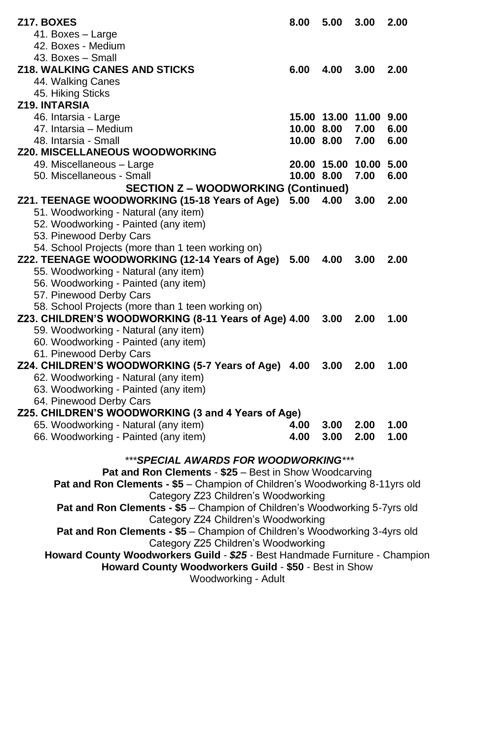| <b>Z17. BOXES</b>                                                           | 8.00       | 5.00 | 3.00                   | 2.00 |
|-----------------------------------------------------------------------------|------------|------|------------------------|------|
| 41. Boxes - Large                                                           |            |      |                        |      |
| 42. Boxes - Medium                                                          |            |      |                        |      |
| 43. Boxes - Small                                                           |            |      |                        |      |
| <b>Z18. WALKING CANES AND STICKS</b>                                        | 6.00       | 4.00 | 3.00                   | 2.00 |
| 44. Walking Canes                                                           |            |      |                        |      |
| 45. Hiking Sticks                                                           |            |      |                        |      |
| Z19. INTARSIA                                                               |            |      |                        |      |
| 46. Intarsia - Large                                                        |            |      | 15.00 13.00 11.00 9.00 |      |
| 47. Intarsia - Medium                                                       | 10.00 8.00 |      | 7.00                   | 6.00 |
| 48. Intarsia - Small                                                        |            |      | 7.00                   | 6.00 |
|                                                                             | 10.00 8.00 |      |                        |      |
| <b>Z20. MISCELLANEOUS WOODWORKING</b>                                       |            |      |                        |      |
| 49. Miscellaneous - Large                                                   |            |      | 20.00 15.00 10.00 5.00 |      |
| 50. Miscellaneous - Small                                                   | 10.00 8.00 |      | 7.00                   | 6.00 |
| <b>SECTION Z - WOODWORKING (Continued)</b>                                  |            |      |                        |      |
| Z21. TEENAGE WOODWORKING (15-18 Years of Age)                               | 5.00       | 4.00 | 3.00                   | 2.00 |
| 51. Woodworking - Natural (any item)                                        |            |      |                        |      |
| 52. Woodworking - Painted (any item)                                        |            |      |                        |      |
| 53. Pinewood Derby Cars                                                     |            |      |                        |      |
| 54. School Projects (more than 1 teen working on)                           |            |      |                        |      |
| Z22. TEENAGE WOODWORKING (12-14 Years of Age) 5.00                          |            | 4.00 | 3.00                   | 2.00 |
| 55. Woodworking - Natural (any item)                                        |            |      |                        |      |
| 56. Woodworking - Painted (any item)                                        |            |      |                        |      |
| 57. Pinewood Derby Cars                                                     |            |      |                        |      |
| 58. School Projects (more than 1 teen working on)                           |            |      |                        |      |
| Z23. CHILDREN'S WOODWORKING (8-11 Years of Age) 4.00                        |            | 3.00 | 2.00                   | 1.00 |
| 59. Woodworking - Natural (any item)                                        |            |      |                        |      |
| 60. Woodworking - Painted (any item)                                        |            |      |                        |      |
| 61. Pinewood Derby Cars                                                     |            |      |                        |      |
| Z24. CHILDREN'S WOODWORKING (5-7 Years of Age) 4.00                         |            | 3.00 | 2.00                   | 1.00 |
|                                                                             |            |      |                        |      |
| 62. Woodworking - Natural (any item)                                        |            |      |                        |      |
| 63. Woodworking - Painted (any item)                                        |            |      |                        |      |
| 64. Pinewood Derby Cars                                                     |            |      |                        |      |
| Z25. CHILDREN'S WOODWORKING (3 and 4 Years of Age)                          |            |      |                        |      |
| 65. Woodworking - Natural (any item)                                        | 4.00       | 3.00 | 2.00                   | 1.00 |
| 66. Woodworking - Painted (any item)                                        | 4.00       | 3.00 | 2.00                   | 1.00 |
|                                                                             |            |      |                        |      |
| ***SPECIAL AWARDS FOR WOODWORKING***                                        |            |      |                        |      |
| Pat and Ron Clements - \$25 - Best in Show Woodcarving                      |            |      |                        |      |
| Pat and Ron Clements - \$5 - Champion of Children's Woodworking 8-11yrs old |            |      |                        |      |
| Category Z23 Children's Woodworking                                         |            |      |                        |      |
| Pat and Ron Clements - \$5 - Champion of Children's Woodworking 5-7yrs old  |            |      |                        |      |
| Category Z24 Children's Woodworking                                         |            |      |                        |      |
| Pat and Ron Clements - \$5 - Champion of Children's Woodworking 3-4yrs old  |            |      |                        |      |
| Category Z25 Children's Woodworking                                         |            |      |                        |      |
| Howard County Woodworkers Guild - \$25 - Best Handmade Furniture - Champion |            |      |                        |      |
| Howard County Woodworkers Guild - \$50 - Best in Show                       |            |      |                        |      |
| Woodworking - Adult                                                         |            |      |                        |      |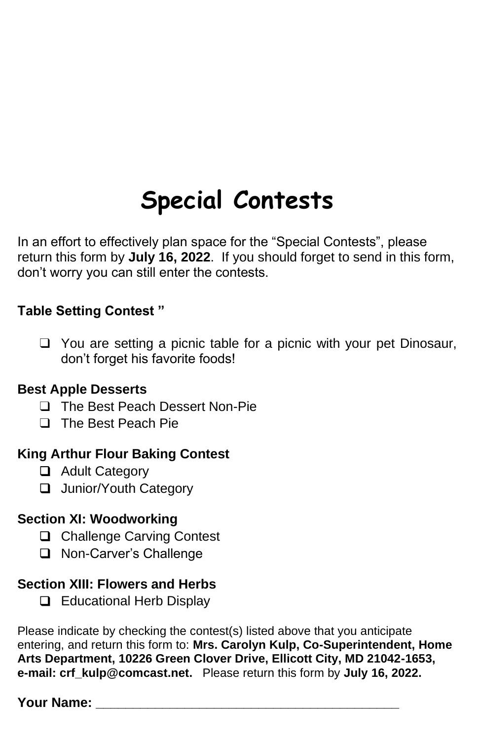# **Special Contests**

In an effort to effectively plan space for the "Special Contests", please return this form by **July 16, 2022**. If you should forget to send in this form, don't worry you can still enter the contests.

# **Table Setting Contest "**

❑ You are setting a picnic table for a picnic with your pet Dinosaur, don't forget his favorite foods!

# **Best Apple Desserts**

- ❑ The Best Peach Dessert Non-Pie
- ❑ The Best Peach Pie

# **King Arthur Flour Baking Contest**

- ❑ Adult Category
- ❑ Junior/Youth Category

# **Section XI: Woodworking**

- ❑ Challenge Carving Contest
- ❑ Non-Carver's Challenge

# **Section XIII: Flowers and Herbs**

❑ Educational Herb Display

Please indicate by checking the contest(s) listed above that you anticipate entering, and return this form to: **Mrs. Carolyn Kulp, Co-Superintendent, Home Arts Department, 10226 Green Clover Drive, Ellicott City, MD 21042-1653, e-mail: [crf\\_kulp@comcast.net.](mailto:crf_kulp@comcast.net)** Please return this form by **July 16, 2022.**

# **Your Name:**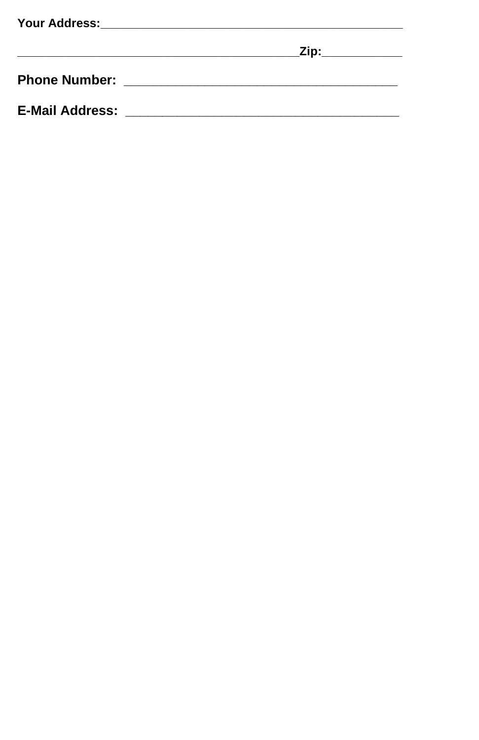|                        | Zip:____________ |
|------------------------|------------------|
|                        |                  |
| <b>E-Mail Address:</b> |                  |